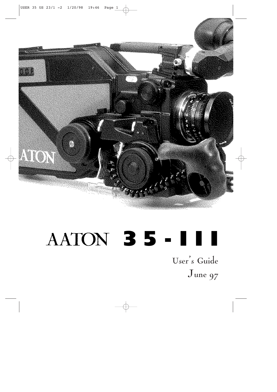

# **35-III**

User's Guide June 97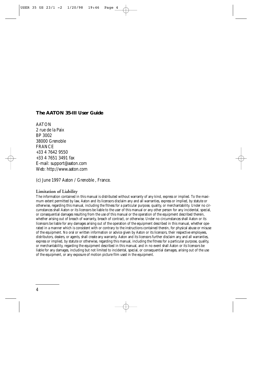#### **The AATON 35-III User Guide**

AATON 2 rue de la Paix BP 3002 38000 Grenoble FRANCE +33 4 7642 9550 +33 4 7651 3491 fax E-mail: support@aaton.com Web: http://www.aaton.com

(c) June 1997 Aaton / Grenoble , France.

#### **Limitation of Liability**

The information contained in this manual is distributed without warranty of any kind, express or implied. To the maximum extent permitted by law, Aaton and its licensors disclaim any and all warranties, express or implied, by statute or otherwise, regarding this manual, including the fitness for a particular purpose, quality, or merchantability. Under no circumstances shall Aaton or its licensors be liable to the user of this manual or any other person for any incidental, special, or consequential damages resulting from the use of this manual or the operation of the equipment described therein, whether arising out of breach of warranty, breach of contract, or otherwise. Under no circumstances shall Aaton or its licensors be liable for any damages arising out of the operation of the equipment described in this manual, whether operated in a manner which is consistent with or contrary to the instructions contained therein, for physical abuse or misuse of the equipment. No oral or written information or advice given by Aaton or its licensors, their respective employees, distributors, dealers, or agents, shall create any warranty. Aaton and its licensors further disclaim any and all warranties, express or implied, by statute or otherwise, regarding this manual, including the fitness for a particular purpose, quality, or merchantability, regarding the equipment described in this manual, and in no event shall Aaton or its licensors be liable for any damages, including but not limited to incidental, special, or consequential damages, arising out of the use of the equipment, or any exposure of motion picture film used in the equipment.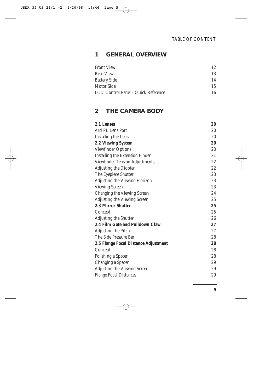#### **1 GENERAL OVE RVIEW**

| <b>Front View</b>                   | 12 |
|-------------------------------------|----|
| <b>Rear View</b>                    | 13 |
| <b>Battery Side</b>                 | 14 |
| Motor Side                          | 15 |
| LCD Control Panel - Quick Reference | 16 |

### **2 THE CAMERA BO D Y**

| 2.1 Lenses                             | 20 |
|----------------------------------------|----|
| Arri PL Lens Port                      | 20 |
| Installing the Lens                    | 20 |
| <b>2.2 Viewing System</b>              | 20 |
| <b>Viewfinder Options</b>              | 20 |
| <b>Installing the Extension Finder</b> | 21 |
| Viewfinder Tension Adjustments         | 22 |
| <b>Adjusting the Diopter</b>           | 22 |
| The Eyepiece Shutter                   | 23 |
| Adjusting the Viewing Horizon          | 23 |
| <b>Viewing Screen</b>                  | 23 |
| Changing the Viewing Screen            | 24 |
| <b>Adjusting the Viewing Screen</b>    | 25 |
| 2.3 Mirror Shutter                     | 25 |
| Concept                                | 25 |
| <b>Adjusting the Shutter</b>           | 26 |
| 2.4 Film Gate and Pulldown Claw        | 27 |
| Adjusting the Pitch                    | 27 |
| The Side Pressure Bar                  | 28 |
| 2.5 Flange Focal Distance Adjustment   | 28 |
| Concept                                | 28 |
| Polishing a Spacer                     | 28 |
| Changing a Spacer                      | 29 |
| <b>Adjusting the Viewing Screen</b>    | 29 |
| <b>Flange Focal Distances</b>          | 29 |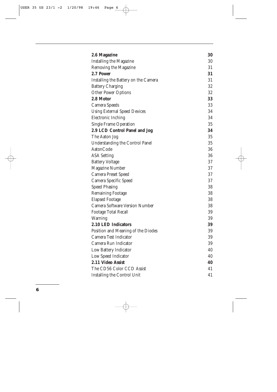| 2.6 Magazine                           | 30 |
|----------------------------------------|----|
| <b>Installing the Magazine</b>         | 30 |
| Removing the Magazine                  | 31 |
| 2.7 Power                              | 31 |
| Installing the Battery on the Camera   | 31 |
| <b>Battery Charging</b>                | 32 |
| <b>Other Power Options</b>             | 32 |
| 2.8 Motor                              | 33 |
| Camera Speeds                          | 33 |
| <b>Using External Speed Devices</b>    | 34 |
| <b>Electronic Inching</b>              | 34 |
| <b>Single Frame Operation</b>          | 35 |
| 2.9 LCD Control Panel and Jog          | 34 |
| The Aaton Jog                          | 35 |
| <b>Understanding the Control Panel</b> | 35 |
| AatonCode                              | 36 |
| <b>ASA Setting</b>                     | 36 |
| <b>Battery Voltage</b>                 | 37 |
| <b>Magazine Number</b>                 | 37 |
| <b>Camera Preset Speed</b>             | 37 |
| Camera Specific Speed                  | 37 |
| <b>Speed Phasing</b>                   | 38 |
| <b>Remaining Footage</b>               | 38 |
| <b>Elapsed Footage</b>                 | 38 |
| Camera Software Version Number         | 38 |
| <b>Footage Total Recall</b>            | 39 |
| <b>Warning</b>                         | 39 |
| 2.10 LED Indicators                    | 39 |
| Position and Meaning of the Diodes     | 39 |
| Camera Test Indicator                  | 39 |
| Camera Run Indicator                   | 39 |
| Low Battery Indicator                  | 40 |
| Low Speed Indicator                    | 40 |
| 2.11 Video Assist                      | 40 |
| The CD56 Color CCD Assist              | 41 |
| <b>Installing the Control Unit</b>     | 41 |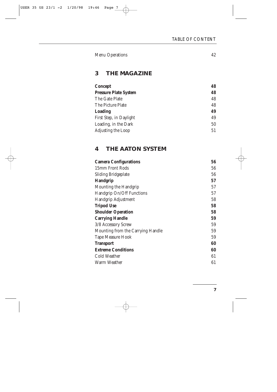| <b>Menu Operations</b> |  |
|------------------------|--|
|------------------------|--|

# **3 THE MAGAZINE**

| <b>Concept</b>               | 48 |
|------------------------------|----|
| <b>Pressure Plate System</b> | 48 |
| The Gate Plate               | 48 |
| The Picture Plate            | 48 |
| Loading                      | 49 |
| First Step, in Daylight      | 49 |
| Loading, in the Dark         | 50 |
| Adjusting the Loop           | 51 |

# **4 THE AATON SYSTEM**

| <b>Camera Configurations</b>      | 56 |
|-----------------------------------|----|
| 15mm Front Rods                   | 56 |
| <b>Sliding Bridgeplate</b>        | 56 |
| <b>Handgrip</b>                   | 57 |
| Mounting the Handgrip             | 57 |
| Handgrip On/Off Functions         | 57 |
| Handgrip Adjustment               | 58 |
| <b>Tripod Use</b>                 | 58 |
| <b>Shoulder Operation</b>         | 58 |
| <b>Carrying Handle</b>            | 59 |
| 3/8 Accessory Screw               | 59 |
| Mounting from the Carrying Handle | 59 |
| <b>Tape Measure Hook</b>          | 59 |
| <b>Transport</b>                  | 60 |
| <b>Extreme Conditions</b>         | 60 |
| Cold Weather                      | 61 |
| Warm Weather                      | 61 |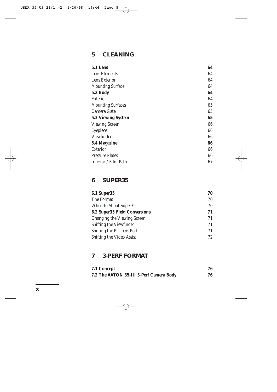# **5 CLEANING**

| 5.1 Lens                  | 64 |
|---------------------------|----|
| Lens Elements             | 64 |
| Lens Exterior             | 64 |
| <b>Mounting Surface</b>   | 64 |
| 5.2 Body                  | 64 |
| Exterior                  | 64 |
| <b>Mounting Surfaces</b>  | 65 |
| Camera Gate               | 65 |
| <b>5.3 Viewing System</b> | 65 |
| <b>Viewing Screen</b>     | 66 |
| Eyepiece                  | 66 |
| Viewfinder                | 66 |
| 5.4 Magazine              | 66 |
| <b>Exterior</b>           | 66 |
| <b>Pressure Plates</b>    | 66 |
| Interior / Film Path      | 67 |

# **6 SUPER35**

| <b>6.1 Super35</b>                   | 70 |
|--------------------------------------|----|
| The Format                           | 70 |
| When to Shoot Super35                | 70 |
| <b>6.2 Super35 Field Conversions</b> | 71 |
| Changing the Viewing Screen          | 71 |
| Shifting the Viewfinder              | 71 |
| Shifting the PL Lens Port            | 71 |
| Shifting the Video Assist            | 72 |

# **7 3-PERF FORMAT**

| 7.1 Concept                             | 76 |
|-----------------------------------------|----|
| 7.2 The AATON 35-III 3-Perf Camera Body | 76 |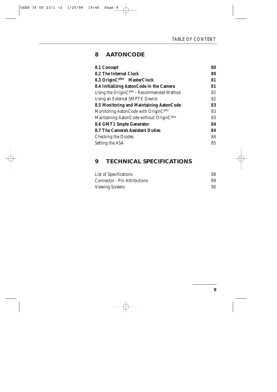# **8 AATONCODE**

| 8.1 Concept                                            | 80 |
|--------------------------------------------------------|----|
| <b>8.2 The Internal Clock</b>                          | 80 |
| 8.3 OriginC <sup>plus</sup> MasterClock                | 81 |
| 8.4 Initializing AatonCode in the Camera               | 81 |
| Using the OriginC <sup>plus</sup> - Recommended Method | 82 |
| Using an External SMPTE Device                         | 82 |
| 8.5 Monitoring and Maintaining AatonCode               | 83 |
| Monitoring AatonCode with OriginC <sup>plus</sup>      | 83 |
| Maintaining AatonCode without OriginC <sup>plus</sup>  | 83 |
| 8.6 GMT1 Smpte Generator                               | 84 |
| <b>8.7 The Camera's Assistant Duties</b>               | 84 |
| <b>Checking the Diodes</b>                             | 84 |
| Setting the ASA                                        | 85 |

# **9 TECHNICAL SPECIFICATIONS**

| List of Specifications              | 88 |
|-------------------------------------|----|
| <b>Connector - Pin Attributions</b> | 89 |
| <b>Viewing Screens</b>              | 90 |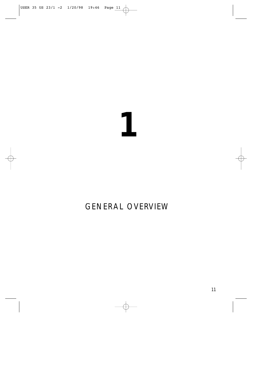# 

# GENERAL OVERVIEW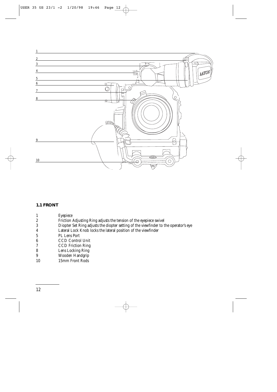

#### **1.1 FRONT**

| 1                | Eyepiece                                                                             |
|------------------|--------------------------------------------------------------------------------------|
| $\boldsymbol{2}$ | Friction Adjusting Ring adjusts the tension of the eyepiece swivel                   |
| 3                | Diopter Set Ring adjusts the diopter setting of the viewfinder to the operator's eye |
| 4                | Lateral Lock Knob locks the lateral position of the viewfinder                       |
| 5                | <b>PL Lens Port</b>                                                                  |
| 6                | <b>CCD Control Unit</b>                                                              |
| 7                | <b>CCD</b> Friction Ring                                                             |
| 8                | Lens Locking Ring                                                                    |
| 9                | Wooden Handgrip                                                                      |
| 10               | 15mm Front Rods                                                                      |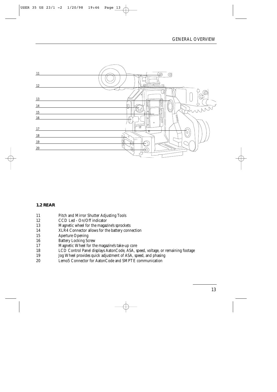

#### **1.2 REAR**

- 11 Pitch and Mirror Shutter Adjusting Tools
- 12 CCD Led On/Off indicator<br>13 Magnetic wheel for the magazi
- 13 Magnetic wheel for the magazine's sprockets
- 14 XLR4 Connector allows for the battery connection
- 15 Aperture Opening<br>16 Battery Locking Sc
- Battery Locking Screw
- 17 Magnetic Wheel for the magazine's take-up core<br>18 18 1.CD Control Panel displays AatonCode. ASA. st
- 18 LCD Control Panel displays AatonCode, ASA, speed, voltage, or remaining footage
- 19 Jog Wheel provides quick adjustment of ASA, speed, and phasing
- 20 Lemo5 Connector for AatonCode and SMPTE communication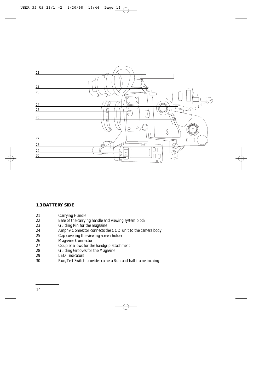

#### **1.3 BATTERY SIDE**

- 21 Carrying Handle<br>22 Base of the carryi
- 22 Base of the carrying handle and viewing system block<br>23 Guiding Pin for the magazine
- 23 Guiding Pin for the magazine<br>24 Amph9 Connector connects th
- Amph9 Connector connects the CCD unit to the camera body
- 25 Cap covering the viewing screen holder<br>26 Magazine Connector
- 26 Magazine Connector<br>27 Coupler allows for the
- 27 Coupler allows for the handgrip attachment<br>28 Guiding Grooves for the Magazine
- 28 Guiding Grooves for the Magazine<br>29 LED Indicators
- LED Indicators
- 30 Run/Test Switch provides camera Run and half frame inching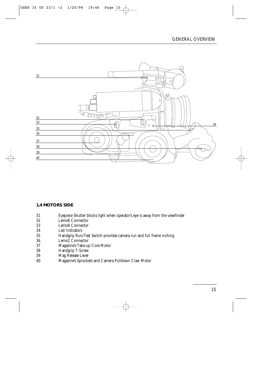

#### **1.4 MOTORS SIDE**

- 31 Eyepiece Shutter blocks light when operator's eye is away from the viewfinder
- 32 Lemo6 Connector<br>33 Lemo8 Connector
- Lemo<sub>8</sub> Connector
- 34 Led Indicators
- 35 Handgrip Run/Test Switch provides camera run and full frame inching
- 36 Lemo2 Connector<br>37 Magazine's Take-ur
- 37 Magazine's Take-up Core Motor
- 38 Handgrip T-Screw<br>39 Mag Release Lever
- Mag Release Lever
- 40 Magazine's Sprockets and Camera Pulldown Claw Motor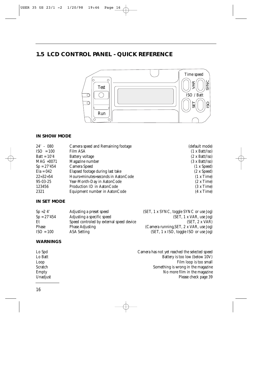# **1.5 LCD CONTROL PANEL - QUICK REFERENCE**



#### **IN SHOW MODE**

| $24' - 080$    | Camera speed and Remaining footage | (default mode)                      |
|----------------|------------------------------------|-------------------------------------|
| $ISO = 100$    | Film ASA                           | $(1 \times \text{Batt}/\text{Iso})$ |
| Batt = $1074$  | Battery voltage                    | $(2 \times \text{Batt}/\text{Iso})$ |
| $MAG = 0071$   | Magazine number                    | $(3 \times \text{Batt}/\text{Iso})$ |
| $Sp = 27'454$  | Camera Speed                       | (1 x Speed)                         |
| $Ela = 042$    | Elapsed footage during last take   | $(2 \times Speed)$                  |
| $22 = 32 = 54$ | Hours=minutes=seconds in AatonCode | (1 x Time)                          |
| 95-03-25       | Year-Month-Day in AatonCode        | $(2 \times Time)$                   |
| 123456         | Production ID in AatonCode         | $(3 \times Time)$                   |
| 2321           | Equipment number in AatonCode      | $(4 \times Time)$                   |

#### **IN SET MODE**

| $Sp = 24'$    | Adjusting a preset speed                 | (SET, 1 x SYNC, toggle SYNC or use Jog) |
|---------------|------------------------------------------|-----------------------------------------|
| $Sp = 27'454$ | Adjusting a specific speed               | (SET, 1 x VAR, use Jog)                 |
| Et            | Speed controled by external speed device | (SET, 2 x VAR)                          |
| Phase         | <b>Phase Adjusting</b>                   | (Camera running, SET, 2 x VAR, use Jog) |
| $ISO = 100$   | <b>ASA Setting</b>                       | (SET, 1 x ISO, toggle ISO or use Jog)   |

#### **WARNINGS**

| Lo Spd   | Camera has not yet reached the selected speed |
|----------|-----------------------------------------------|
| Lo Batt  | Battery is too low (below 10V)                |
| Loop     | Film loop is too small                        |
| Scratch  | Something is wrong in the magazine            |
| Empty    | No more film in the magazine                  |
| Unadjust | Please check page 39                          |
|          |                                               |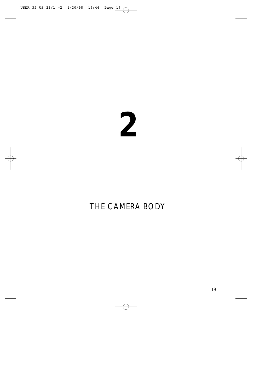# 

# THE CAMERA BODY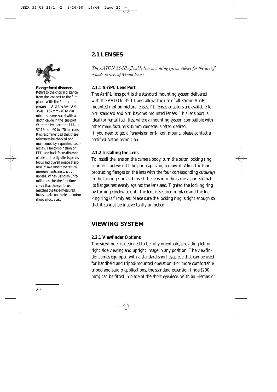# **2.1 LENSES**



**Flange focal distance.** Refers to the critical distance from the lens seat to the film plane. With the PL port, the precise FFD of the AATON 35-III is 52mm -40 to -50 microns as measured with a depth gauge in the lens port. With the PV port, the FFD is 57.15mm -60 to -70 microns It is recommended that these tolerances be checked and maintained by a qualified technician. The combination of FFD and back focus distance of a lens directly affects precise focus and overall image sharpness. Make sure these critical measurements are strictly upheld. When using an unfamiliar lens for the first time, check that the eye focus matches the tape-measured focus marks on the lens, and/or shoot a focus test.

*The AATON 35-III's flexible lens mounting system allows for the use of a wide variety of 35mm lenses.*

#### **2.1.1 ArriPL Lens Port**

The ArriPL lens port is the standard mounting system delivered with the AATON 35-III and allows the use of all 35mm ArriPL mounted motion picture lenses. PL lenses adaptors are available for Arri standard and Arri bayonet mounted lenses. This lens port is ideal for rental facilities, where a mounting system compatible with other manufacturer's 35mm cameras is often desired. If you need to get a Panavision or Nikon mount, please contact a certified Aaton technician.

#### **2.1.2 Installing the Lens**

To install the lens on the camera body, turn the outer locking ring counter-clockwise. If the port cap is on, remove it. Align the four protruding flanges on the lens with the four corresponding cutaways in the locking ring and insert the lens into the camera port so that its flanges rest evenly against the lens seat. Tighten the locking ring by turning clockwise until the lens is secured in place and the locking ring is firmly set. Make sure the locking ring is tight enough so that it cannot be inadvertantly unlocked.

### **VIEWING SYSTEM**

#### **2.2.1 Viewfinder Options**

The viewfinder is designed to be fully orientable, providing left or right side viewing and upright image in any position. The viewfinder comes equipped with a standard short eyepiece that can be used for handheld and tripod-mounted operation. For more comfortable tripod and studio applications, the standard extension finder(200 mm) can be fitted in place of the short eyepiece. With an Elemak or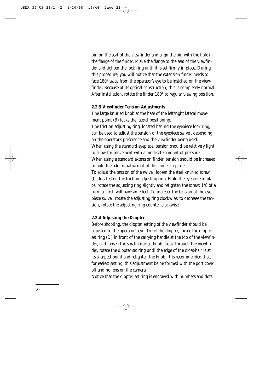pin on the seat of the viewfinder and align the pin with the hole in the flange of the finder. Make the flange to the seat of the viewfinder and tighten the lock ring until it is set firmly in place. During this procedure, you will notice that the extension finder needs to face 180° away from the operator's eye to be installed on the viewfinder. Because of its optical construction, this is completely normal. After installation, rotate the finder 180° to regular viewing position.

#### **2.2.3 Viewfinder Tension Adjustments**

The large knurled knob at the base of the left/right lateral movement point (B) locks the lateral positioning. The friction adjusting ring, located behind the eyepiece lock ring, can be used to adjust the tension of the eyepiece swivel, depending on the operator's preference and the viewfinder being used. When using the standard eyepiece, tension should be relatively light to allow for movement with a moderate amount of pressure. When using a standard extension finder, tension should be increased to hold the additional weight of this finder in place. To adjust the tension of the swivel, loosen the steel knurled screw (C) located on the friction adjusting ring. Hold the eyepiece in place, rotate the adjusting ring slightly and retighten the screw; 1/8 of a turn, at first, will have an effect. To increase the tension of the eyepiece swivel, rotate the adjusting ring clockwise; to decrease the tension, rotate the adjusting ring counter-clockwise.

#### **2.2.4 Adjusting the Diopter**

Before shooting, the diopter setting of the viewfinder should be adjusted to the operator's eye. To set the diopter, locate the diopter set ring (D) in front of the carrying handle at the top of the viewfinder, and loosen the small knurled knob. Look through the viewfinder, rotate the diopter set ring until the edge of the cross-hair is at its sharpest point and retighten the knob. It is recommended that, for easiest setting, this adjustment be performed with the port cover off and no lens on the camera.

Notice that the diopter set ring is engraved with numbers and dots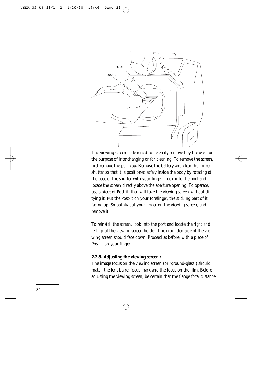

The viewing screen is designed to be easily removed by the user for the purpose of interchanging or for cleaning. To remove the screen, first remove the port cap. Remove the battery and clear the mirror shutter so that it is positioned safely inside the body by rotating at the base of the shutter with your finger. Look into the port and locate the screen directly above the aperture opening. To operate, use a piece of Post-it, that will take the viewing screen without dirtying it. Put the Post-it on your forefinger, the sticking part of it facing up. Smoothly put your finger on the viewing screen, and remove it.

To reinstall the screen, look into the port and locate the right and left lip of the viewing screen holder. The grounded side of the viewing screen should face down. Proceed as before, with a piece of Post-it on your finger.

#### **2.2.9. Adjusting the viewing screen :**

The image focus on the viewing screen (or "ground-glass") should match the lens barrel focus mark and the focus on the film. Before adjusting the viewing screen, be certain that the flange focal distance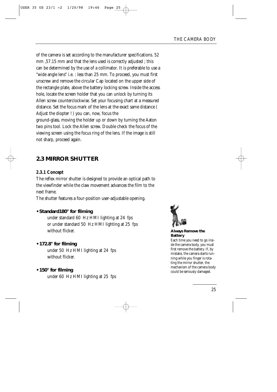of the camera is set according to the manufacturer specifications. 52 mm ,57.15 mm and that the lens used is correctly adjusted ; this can be determined by the use of a collimator. It is preferable to use a "wide angle lens" i.e. : less than 25 mm. To proceed, you must first unscrew and remove the circular Cap located on the upper side of the rectangle plate, above the battery locking screw. Inside the access hole, locate the screen holder that you can unlock by turning its Allen screw counterclockwise. Set your focusing chart at a measured distance. Set the focus mark of the lens at the exact same distance ( Adjust the diopter ! ) you can, now, focus the ground-glass, moving the holder up or down by turning the Aaton two pins tool. Lock the Allen screw. Double check the focus of the viewing screen using the focus ring of the lens. If the image is still not sharp, proceed again.

# **2.3 MIRROR SHUTTER**

#### **2.3.1 Concept**

The reflex mirror shutter is designed to provide an optical path to the viewfinder while the claw movement advances the film to the next frame.

The shutter features a four-position user-adjustable opening.

#### **• Standard180° for filming**

under standard 60 Hz HMI lighting at 24 fps or under standard 50 Hz HMI lighting at 25 fps without flicker.

#### **• 172.8° for filming**

under 50 Hz HMI lighting at 24 fps without flicker.

#### **• 150° for filming**

under 60 Hz HMI lighting at 25 fps



**Always Remove the Battery** 

Each time you need to go inside the camera body, you must first remove the battery. If, by mistake, the camera starts running while you finger is rotating the mirror shutter, the mechanism of the camera body could be seriously damaged.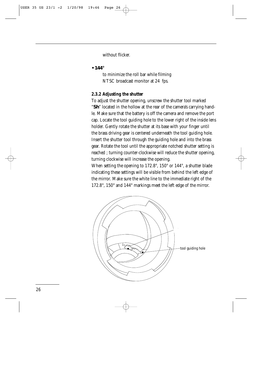without flicker.

**• 144°**

to minimize the roll bar while filming NTSC broadcast monitor at 24 fps.

#### **2.3.2 Adjusting the shutter**

To adjust the shutter opening, unscrew the shutter tool marked "**Sh**" located in the hollow at the rear of the camera's carrying handle. Make sure that the battery is off the camera and remove the port cap. Locate the tool guiding hole to the lower right of the inside lens holder. Gently rotate the shutter at its base with your finger until the brass driving gear is centered underneath the tool guiding hole. Insert the shutter tool through the guiding hole and into the brass gear. Rotate the tool until the appropriate notched shutter setting is reached ; turning counter-clockwise will reduce the shutter opening, turning clockwise will increase the opening.

When setting the opening to 172.8°, 150° or 144°, a shutter blade indicating these settings will be visible from behind the left edge of the mirror. Make sure the white line to the immediate right of the 172.8°, 150° and 144° markings meet the left edge of the mirror.

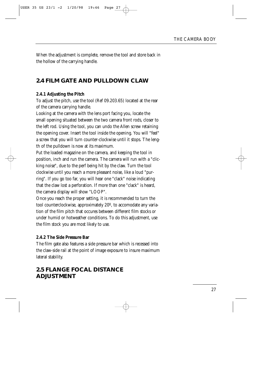When the adjustment is complete, remove the tool and store back in the hollow of the carrying handle.

## **2.4 FILM GATE AND PULLDOWN CLAW**

#### **2.4.1 Adjusting the Pitch**

To adjust the pitch, use the tool (Ref 09.203.65) located at the rear of the camera carrying handle.

Looking at the camera with the lens port facing you, locate the small opening situated between the two camera front rods, closer to the left rod. Using the tool, you can undo the Allen screw retaining the opening cover. Insert the tool inside the opening. You will "feel" a screw that you will turn counter-clockwise until it stops. The length of the pulldown is now at its maximum.

Put the loaded magazine on the camera, and keeping the tool in position, inch and run the camera. The camera will run with a "clicking noise", due to the perf being hit by the claw. Turn the tool clockwise until you reach a more pleasant noise, like a loud "purring". If you go too far, you will hear one "clack" noise indicating that the claw lost a perforation. If more than one "clack" is heard, the camera display will show "LOOP".

Once you reach the proper setting, it is recommended to turn the tool counterclockwise, approximately 20º, to accomodate any variation of the film pitch that occures between different film stocks or under humid or hotweather conditions. To do this adjustment, use the film stock you are most likely to use.

#### **2.4.2 The Side Pressure Bar**

The film gate also features a side pressure bar which is recessed into the claw-side rail at the point of image exposure to insure maximum lateral stability.

## **2.5 FLANGE FOCAL DISTANCE ADJUSTMENT**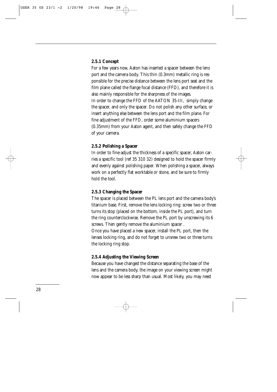#### **2.5.1 Concept**

For a few years now, Aaton has inserted a spacer between the lens port and the camera body. This thin (0.3mm) metallic ring is responsible for the precise distance between the lens port seat and the film plane called the flange focal distance (FFD), and therefore it is also mainly responsible for the sharpness of the images. In order to change the FFD of the AATON 35-III, simply change the spacer, and only the spacer. Do not polish any other surface, or insert anything else between the lens port and the film plane. For fine adjustment of the FFD, order some aluminium spacers (0.35mm) from your Aaton agent, and then safely change the FFD of your camera.

#### **2.5.2 Polishing a Spacer**

In order to fine-adjust the thickness of a specific spacer, Aaton carries a specific tool (ref 35 310 32) designed to hold the spacer firmly and evenly against polishing paper. When polishing a spacer, always work on a perfectly flat worktable or stone, and be sure to firmly hold the tool.

#### **2.5.3 Changing the Spacer**

The spacer is placed between the PL lens port and the camera body's titanium base. First, remove the lens locking ring: screw two or three turns its stop (placed on the bottom, inside the PL port), and turn the ring counterclockwise. Remove the PL port by unscrewing its 6 screws. Then gently remove the aluminium spacer . Once you have placed a new spacer, install the PL port, then the lenses locking ring, and do not forget to unsrew two or three turns the locking ring stop.

#### **2.5.4 Adjusting the Viewing Screen**

Because you have changed the distance separating the base of the lens and the camera body, the image on your viewing screen might now appear to be less sharp than usual. Most likely, you may need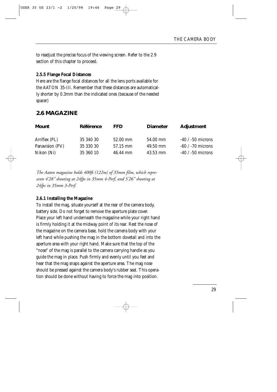to readjust the precise focus of the viewing screen. Refer to the 2.9 section of this chapter to proceed.

#### **2.5.5 Flange Focal Distances**

Here are the flange focal distances for all the lens ports available for the AATON 35-III. Remember that these distances are automatically shorter by 0.3mm than the indicated ones (because of the needed spacer)

#### **2.6 MAGAZINE**

| <b>Mount</b>    | Référence | <b>FFD</b> | <b>Diameter</b> | Adjustment            |
|-----------------|-----------|------------|-----------------|-----------------------|
| Arriflex (PL)   | 35 340 30 | 52.00 mm   | 54.00 mm        | $-40$ / $-50$ microns |
| Panavision (PV) | 35 330 30 | 57.15 mm   | 49.50 mm        | $-60$ / $-70$ microns |
| Nikon (Ni)      | 35 360 10 | 46.44 mm   | $43.53$ mm      | $-40$ / $-50$ microns |

*The Aaton magazine holds 400ft (122m) of 35mm film, which represents 4'28'' shooting at 24fps in 35mm 4-Perf, and 5'26'' shooting at 24fps in 35mm 3-Perf.*

#### **2.6.1 Installing the Magazine**

To install the mag, situate yourself at the rear of the camera body, battery side. Do not forget to remove the aperture plate cover. Place your left hand underneath the magazine while your right hand is firmly holding it at the midway point of its rear. Rest the nose of the magazine on the camera base, hold the camera body with your left hand while pushing the mag in the bottom dovetail and into the aperture area with your right hand. Make sure that the top of the "nose" of the mag is parallel to the camera carrying handle as you guide the mag in place. Push firmly and evenly until you feel and hear that the mag snaps against the aperture area. The mag nose should be pressed against the camera body's rubber seal. This operation should be done without having to force the mag into position.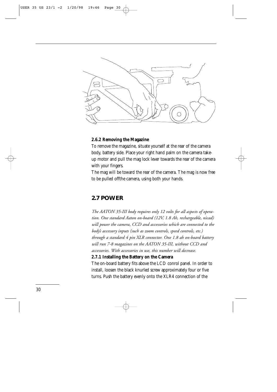

#### **2.6.2 Removing the Magazine**

To remove the magazine, situate yourself at the rear of the camera body, battery side. Place your right hand palm on the camera takeup motor and pull the mag lock lever towards the rear of the camera with your fingers.

The mag will be toward the rear of the camera. The mag is now free to be pulled offthe camera, using both your hands.

#### **2.7 POWER**

*The AATON 35-III body requires only 12 volts for all aspects of operation. One standard Aaton on-board (12V, 1.8 Ah, rechargeable, nicad) will power the camera, CCD and accessories which are connected to the body's accessory inputs (such as zoom controls, speed controls, etc.) through a standard 4 pin XLR connector. One 1.8 ah on-board battery will run 7-8 magazines on the AATON 35-III, without CCD and accessories. With accessories in use, this number will decrease.*

#### **2.7.1 Installing the Battery on the Camera**

The on-board battery fits above the LCD conrol panel. In order to install, loosen the black knurled screw approximately four or five turns. Push the battery evenly onto the XLR4 connection of the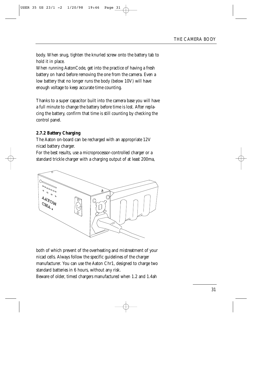body. When snug, tighten the knurled screw onto the battery tab to hold it in place.

When running AatonCode, get into the practice of having a fresh battery on hand before removing the one from the camera. Even a low battery that no longer runs the body (below 10V) will have enough voltage to keep accurate time counting.

Thanks to a super capacitor built into the camera base you will have a full minute to change the battery before time is lost. After replacing the battery, confirm that time is still counting by checking the control panel.

#### **2.7.2 Battery Charging**

The Aaton on-board can be recharged with an appropriate 12V nicad battery charger.

For the best results, use a microprocessor-controlled charger or a standard trickle charger with a charging output of at least 200ma,



both of which prevent of the overheating and mistreatment of your nicad cells. Always follow the specific guidelines of the charger manufacturer. You can use the Aaton Chr1, designed to charge two standard batteries in 6 hours, without any risk. Beware of older, timed chargers manufactured when 1.2 and 1.4ah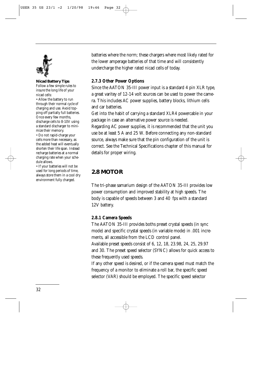

#### **Nicad Battery Tips**

Follow a few simple rules to insure the long life of your nicad cells:

• Allow the battery to run through their normal cycle of charging and use. Avoid topping off partially full batteries. Once every few months, discharge cells to 8-10V using a standard discharger to minimize their memory.

• Do not rapid-charge your cells more than necessary, as the added heat will eventually shorten their life span. Instead recharge batteries at a normal charging rate when your schedule allows.

• If your batteries will not be used for long periods of time, always store them in a cool dry environment fully charged.

batteries where the norm; these chargers where most likely rated for the lower amperage batteries of that time and will consistently undercharge the higher rated nicad cells of today.

#### **2.7.3 Other Power Options**

Since the AATON 35-III power input is a standard 4 pin XLR type, a great varitey of 12-14 volt sources can be used to power the camera. This includes AC power supplies, battery blocks, lithium cells and car batteries.

Get into the habit of carrying a standard XLR4 powercable in your package in case an alternative power source is needed. Regarding AC power supplies, it is recommended that the unit you use be at least 5 A and 25 W. Before connecting any non-standard source, always make sure that the pin configuration of the unit is correct. See the Technical Specifications chapter of this manual for details for proper wiring.

# **2.8 MOTOR**

The tri-phase samarium design of the AATON 35-III provides low power consumption and improved stability at high speeds. The body is capable of speeds between 3 and 40 fps with a standard 12V battery.

#### **2.8.1 Camera Speeds**

The AATON 35-III provides boths preset crystal speeds (in sync mode) and specific crystal speeds (in variable mode) in .001 increments, all accessible from the LCD control panel.

Available preset speeds consist of 6, 12, 18, 23.98, 24, 25, 29.97 and 30. The preset speed selector (SYNC) allows for quick access to these frequently used speeds.

If any other speed is desired, or if the camera speed must match the frequency of a monitor to eliminate a roll bar, the specific speed selector (VAR) should be employed. The specific speed selector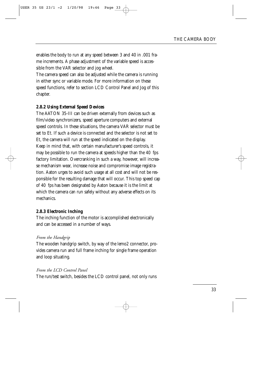enables the body to run at any speed between 3 and 40 in .001 frame increments. A phase adjustment of the variable speed is accessible from the VAR selector and jog wheel.

The camera speed can also be adjusted while the camera is running in either sync or variable mode. For more information on these speed functions, refer to section LCD Control Panel and Jog of this chapter.

#### **2.8.2 Using External Speed Devices**

The AATON 35-III can be driven externally from devices such as film/video synchronizers, speed aperture computers and external speed controls. In these situations, the camera VAR selector must be set to Et. If such a device is connected and the selector is not set to Et, the camera will run at the speed indicated on the display. Keep in mind that, with certain manufacturer's speed controls, it may be possible to run the camera at speeds higher than the 40 fps factory limitation. Overcranking in such a way, however, will increase mechanism wear, increase noise and compromise image registration. Aaton urges to avoid such usage at all cost and will not be responsible for the resulting damage that will occur. This top speed cap of 40 fps has been designated by Aaton because it is the limit at which the camera can run safely without any adverse effects on its mechanics.

#### **2.8.3 Electronic Inching**

The inching function of the motor is accomplished electronically and can be accessed in a number of ways.

#### *From the Handgrip*

The wooden handgrip switch, by way of the lemo2 connector, provides camera run and full frame inching for single frame operation and loop situating.

#### *From the LCD Control Panel*

The run/test switch, besides the LCD control panel, not only runs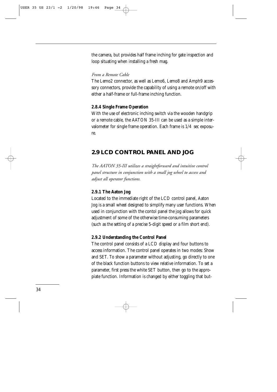the camera, but provides half frame inching for gate inspection and loop situating when installing a fresh mag.

#### *From a Remote Cable*

The Lemo2 connector, as well as Lemo6, Lemo8 and Amph9 accessory connectors, provide the capability of using a remote on/off with either a half-frame or full-frame inching function.

#### **2.8.4 Single Frame Operation**

With the use of electronic inching switch via the wooden handgrip or a remote cable, the AATON 35-III can be used as a simple intervalometer for single frame operation. Each frame is 1/4 sec exposure.

### **2.9 LCD CONTROL PANEL AND JOG**

*The AATON 35-III utilizes a straightforward and intuitive control panel structure in conjunction with a small jog wheel to access and adjust all operator functions.*

#### **2.9.1 The Aaton Jog**

Located to the immediate right of the LCD control panel, Aaton Jog is a small wheel designed to simplify many user functions. When used in conjunction with the contol panel the jog allows for quick adjustment of some of the otherwise time-consuming parameters (such as the setting of a precise 5-digit speed or a film short end).

#### **2.9.2 Understanding the Control Panel**

The control panel consists of a LCD display and four buttons to access information. The control panel operates in two modes: Show and SET. To show a parameter without adjusting, go directly to one of the black function buttons to view relative information. To set a parameter, first press the white SET button, then go to the appropiate function. Information is changed by either toggling that but-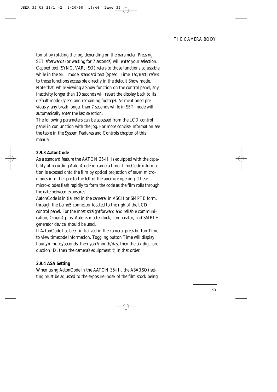ton ot by rotating the jog, depending on the parameter. Pressing SET afterwards (or waiting for 7 seconds) will enter your selection. Capped text (SYNC, VAR, ISO) refers to those functions adjustable while in the SET mode; standard text (Speed, Time, Iso/Batt) refers to those functions accessible directly in the default Show mode. Note that, while viewing a Show function on the control panel, any inactivity longer than 10 seconds will revert the display back to its default mode (speed and remaining footage). As mentioned previously, any break longer than 7 seconds while in SET mode will automatically enter the last selection.

The following parameters can be accessed from the LCD control panel in conjunction with the jog. For more concise information see the table in the System Features and Controls chapter of this manual.

#### **2.9.3 AatonCode**

As a standard feature the AATON 35-III is equipped with the capability of recording AatonCode in-camera time. TimeCode information is exposed onto the film by optical projection of seven microdiodes into the gate to the left of the aperture opening. These micro-diodes flash rapidly to form the code as the film rolls through the gate between exposures.

AatonCode is initialized in the camera, in ASCII or SMPTE form, through the Lemo5 connector located to the righ of the LCD control panel. For the most straightforward and reliable communication, OriginCplus, Aaton's masterclock, comparator, and SMPTE generator device, should be used.

If AatonCode has been initialized in the camera, press button Time to view timecode information. Toggling button Time will display hours/minutes/seconds, then year/month/day, then the six-digit production ID, then the camera's equipment #, in that order.

#### **2.9.4 ASA Setting**

When using AatonCode in the AATON 35-III, the ASA(ISO) setting must be adjusted to the exposure index of the film stock being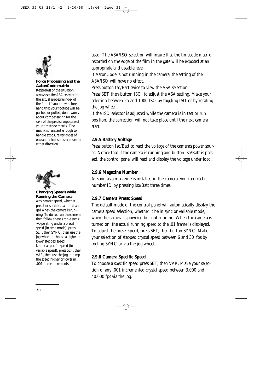

#### **Force Processing and the AatonCode matrix**

Regardless of the situation, always set the ASA selector to the actual exposure index of the film. If you know beforehand that your footage will be pushed or pulled, don't worry about compensating for the sake of the precise exposure of your timecode matrix. The matrix is resistant enough to handle exposure variances of one and a half stops or more in either direction.



**Changing Speeds while Running the Camera** Any camera speed, whether preset or specific, can be changed when the camera is running. To do so, run the camera, then follow these simple steps: **•** Operating under a preset speed (in sync mode), press SET, then SYNC, then use the jog wheel to choose a higher or lower stepped speed. Under a specific speed (in variable speed), press SET, then VAR, then use the jog to ramp the speed higher or lower in .001 frame increments.

used. The ASA/ISO selection will insure that the timecode matrix recorded on the edge of the film in the gate will be exposed at an appropriate and useable level.

If AatonCode is not running in the camera, the setting of the ASA/ISO will have no effect.

Press button Iso/Batt twice to view the ASA selection.

Press SET then button ISO, to adjust the ASA setting. Make your selection between 25 and 1000 ISO by toggling ISO or by rotating the jog wheel.

If the ISO selector is adjusted while the camera is in test or run position, the correction will not take place until the next camera start.

#### **2.9.5 Battery Voltage**

Press button Iso/Batt to read the voltage of the camera's power source. Notice that if the camera is running and button Iso/Batt is pressed, the control panel will read and display the voltage under load.

#### **2.9.6 Magazine Number**

As soon as a magazine is installed in the camera, you can read is number ID by pressing Iso/Batt three times.

#### **2.9.7 Camera Preset Speed**

The default mode of the control panel will automatically display the camera speed selection, whether it be in sync or variable mode, when the camera is powered but not running. When the camera is turned on, the actual running speed to the .01 frame is displayed. To adjust the preset speed, press SET, then button SYNC. Make your selection of stepped crystal speed between 6 and 30 fps by togling SYNC or via the jog wheel.

#### **2.9.8 Camera Specific Speed**

To choose a specific speed press SET, then VAR. Make your selection of any .001 incremented crystal speed between 3.000 and 40.000 fps via the jog.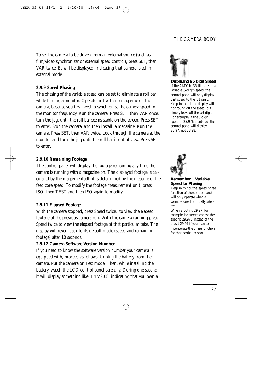To set the camera to be driven from an external source (such as film/video synchronizer or external speed control), press SET, then VAR twice. Et will be displayed, indicating that camera is set in external mode.

## **2.9.9 Speed Phasing**

The phasing of the variable speed can be set to eliminate a roll bar while filming a monitor. Operate first with no magazine on the camera, because you first need to synchronise the camera speed to the monitor frequency. Run the camera. Press SET, then VAR once, turn the jog, until the roll bar seems stable on the screen. Press SET to enter. Stop the camera, and then install a magazine. Run the camera. Press SET, then VAR twice. Look through the camera at the monitor and turn the jog until the roll bar is out of view. Press SET to enter.

## **2.9.10 Remaining Footage**

The control panel will display the footage remaining any time the camera is running with a magazine on. The displayed footage is calculated by the magazine itself: it is determined by the measure of the feed core speed. To modify the footage measurement unit, press ISO, then TEST and then ISO again to modify.

## **2.9.11 Elapsed Footage**

With the camera stopped, press Speed twice, to view the elapsed footage of the previous camera run. With the camera running press Speed twice to view the elapsed footage of that particular take. The display will revert back to its default mode (speed and remaining footage) after 10 seconds.

## **2.9.12 Camera Software Version Number**

If you need to know the software version number your camera is equipped with, proceed as follows. Unplug the battery from the camera. Put the camera on Test mode. Then, while installing the battery, watch the LCD control panel carefully. During one second it will display something like: T4 V2.08, indicating that you own a



**Displaying a 5 Digit Speed** If the AATON 35-III is set to a variable (5-digit) speed, the control panel will only display that speed to the .01 digit. Keep in mind, the display will not round off the speed, but simply leave off the last digit. For example, if the 5 digit speed of 23.976 is entered, the control panel will display 23.97, not 23.98.



**Remember… Variable Speed for Phasing** Keep in mind, the speed phase function of the control panel will only operate when a variable speed is initially selected.

When shooting 29.97, for example, be sure to choose the specific 29.970 instead of the preset 29.97 if you plan to incorporate the phase function for that particular shot.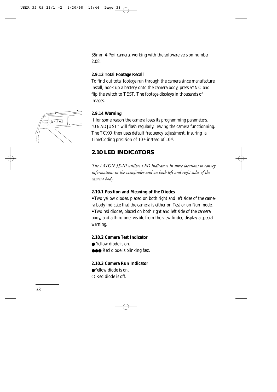35mm 4-Perf camera, working with the software version number 2.08.

#### **2.9.13 Total Footage Recall**

To find out total footage run through the camera since manufacture install, hook up a battery onto the camera body, press SYNC and flip the switch to TEST. The footage displays in thousands of images.



#### **2.9.14 Warning**

If for some reason the camera loses its programming parameters, "UNADJUST" will flash regularly. leaving the camera functionning. The TCXO then uses default frequency adjustment, insuring a TimeCoding precision of 10-4 instead of 10-6.

## **2.10 LED INDICATORS**

*The AATON 35-III utilizes LED indicators in three locations to convey information: in the viewfinder and on both left and right sides of the camera body.*

#### **2.10.1 Position and Meaning of the Diodes**

**•** Two yellow diodes, placed on both right and left sides of the camera body indicate that the camera is either on Test or on Run mode. **•** Two red diodes, placed on both right and left side of the camera body, and a third one, visible from the view finder, display a special warning.

## **2.10.2 Camera Test Indicator**

- Yellow diode is on.
- ●●● Red diode is blinking fast.

#### **2.10.3 Camera Run Indicator**

- ●Yellow diode is on.
- ❍ Red diode is off.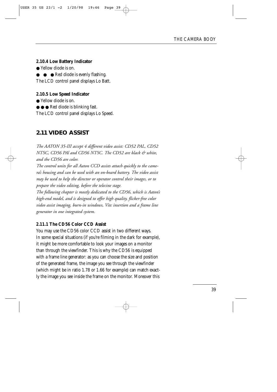## **2.10.4 Low Battery Indicator**

● Yellow diode is on.

● ● Red diode is evenly flashing.

The LCD control panel displays Lo Batt.

## **2.10.5 Low Speed Indicator**

● Yellow diode is on.

● ● ● Red diode is blinking fast.

The LCD control panel displays Lo Speed.

## **2.11 VIDEO ASSIST**

*The AATON 35-III accept 4 different video assist: CD52 PAL, CD52 NTSC, CD56 PAl and CD56 NTSC. The CD52 are black & white, and the CD56 are color. The control units for all Aaton CCD assists attach quickly to the camera's housing and can be used with an on-board battery. The video assist may be used to help the director or operator control their images, or to prepare the video editing, before the telecine stage. The following chapter is mostly dedicated to the CD56, which is Aaton's high-end model, and is designed to offer high quality, flicker-free color video assist imaging, burn-in windows, Vitc insertion and a frame line*

*generator in one integrated system.*

## **2.11.1 The CD56 Color CCD Assist**

You may use the CD56 color CCD assist in two different ways. In some special situations (if you're filming in the dark for example), it might be more comfortable to look your images on a monitor than through the viewfinder. This is why the CD56 is equipped with a frame line generator: as you can choose the size and position of the generated frame, the image you see through the viewfinder (which might be in ratio 1.78 or 1.66 for example) can match exactly the image you see inside the frame on the monitor. Moreover this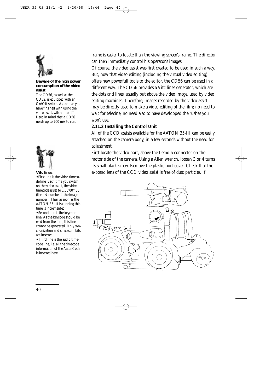

#### **Beware of the high power consumption of the video assist**

The CD56, as well as the CD52, is equipped with an On/Off switch. As soon as you have finsihed with using the video assist, witch it to off. Keep in mind that a CD56 needs up to 700 mA to run.



#### **Vitc lines**

**•** First line is the video timecode line. Each time you switch on the video assist, the video timecode is set to 1:00'00'' 00 (the last number is the image number). Then as soon as the AATON 35-III is running this time is incremented.

**•** Second line is the keycode line. As the keycode should be read from the film, this line cannot be generated. Only synchonization and checksum bits are inserted.

**•** Third line is the audio timecode line, i.e. all the timecode information of the AatonCode is inserted here.

frame is easier to locate than the viewing screen's frame. The director can then immediatly control his operator's images.

Of course, the video assist was first created to be used in such a way. But, now that video editing (including the virtual video editing) offers new powerfull tools to the editor, the CD56 can be used in a different way. The CD56 provides a Vitc lines generator, which are the dots and lines, usually put above the video image, used by video editing machines. Therefore, images recorded by the video assist may be directly used to make a video editing of the film; no need to wait for telecine, no need also to have developped the rushes you won't use.

## **2.11.2 Installing the Control Unit**

All of the CCD assists available for the AATON 35-III can be easily attached on the camera body, in a few seconds without the need for adjustment.

First locate the video port, above the Lemo 6 connector on the motor side of the camera. Using a Allen wrench, loosen 3 or 4 turns its small black screw. Remove the plastic port cover. Check that the exposed lens of the CCD video assist is free of dust particles. If

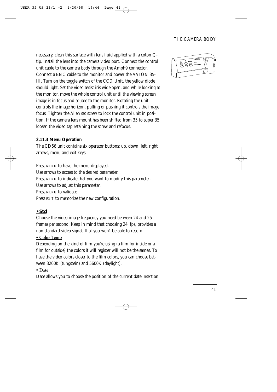necessary, clean this surface with lens fluid applied with a coton Qtip. Install the lens into the camera video port. Connect the control unit cable to the camera body through the Amph9 connector. Connect a BNC cable to the monitor and power the AATON 35- III. Turn on the toggle switch of the CCD Unit, the yellow diode should light. Set the video assist iris wide open, and while looking at the monitor, move the whole control unit until the viewing screen image is in focus and square to the monitor. Rotating the unit controls the image horizon, pulling or pushing it controls the image focus. Tighten the Allen set screw to lock the control unit in position. If the camera lens mount has been shifted from 35 to super 35, loosen the video tap retaining the screw and refocus.

## **2.11.3 Menu Operation**

The CD56 unit contains six operator buttons: up, down, left, right arrows, menu and exit keys.

Press MENU to have the menu displayed. Use arrows to access to the desired parameter. Press MENU to indicate that you want to modify this parameter. Use arrows to adjust this parameter. Press MENU to validate Press EXIT to memorize the new configuration.

## **• Std**

Choose the video image frequency you need between 24 and 25 frames per second. Keep in mind that choosing 24 fps, provides a non standard video signal, that you won't be able to record.

## **• Color Temp**

Depending on the kind of film you're using (a film for inside or a film for outside) the colors it will register will not be the sames. To have the video colors closer to the film colors, you can choose between 3200K (tungstein) and 5600K (daylight).

## **• Date**

Date allows you to choose the position of the current date insertion

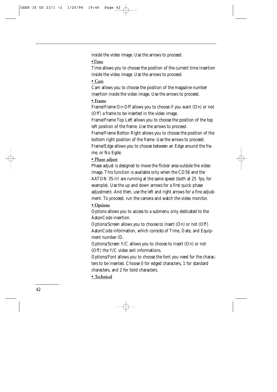inside the video image. Use the arrows to proceed.

**•Time**

Time allows you to choose the position of the current time insertion inside the video image. Use the arrows to proceed.

## **• Cam**

Cam allows you to choose the position of the magazine number insertion inside the video image. Use the arrows to proceed.

## **• Frame**

Frame/Frame On-Off allows you to choose if you want (On) or not (Off) a frame to be inserted in the video image.

Frame/Frame Top Left allows you to choose the position of the top left position of the frame. Use the arrows to proceed.

Frame/Frame Botton Right allows you to choose the position of the bottom right position of the frame. Use the arrows to proceed. Frame/Edge allows you to choose between an Edge around the frame, or No Egde.

## **• Phase adjust**

Phase adjust is designed to move the flicker area outside the video image. This function is available only when the CD56 and the AATON 35-III are running at the same speed (both at 25 fps, for example). Use the up and down arrows for a first quick phase adjustment. And then, use the left and right arrows for a fine adjustment. To proceed, run the camera and watch the video monitor.

## **• Options**

Options allows you to access to a submenu only dedicated to the AatonCode insertion.

Options/Screen allows you to choose to insert (On) or not (Off) AatonCode information, which consists of Time, Date, and Equipment number ID.

Options/Screen Y/C allows you to choose to insert (On) or not (Off) the Y/C video exit informations.

Options/Font allows you to choose the font you need for the characters to be inserted. Choose 0 for edged characters, 1 for standard characters, and 2 for bold characters.

**• Technical**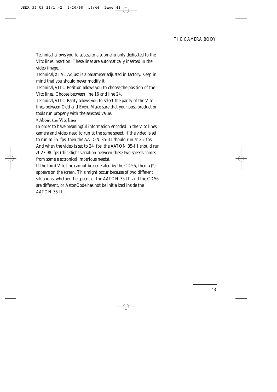Technical allows you to access to a submenu only dedicated to the Vitc lines insertion. These lines are automatically inserted in the video image.

Technical/XTAL Adjust is a parameter adjusted in factory. Keep in mind that you should never modify it.

Technical/VITC Position allows you to choose the position of the Vitc lines. Choose between line 16 and line 24.

Technical/VITC Parity allows you to select the parity of the Vitc lines between Odd and Even. Make sure that your post-production tools run properly with the selected value.

## **• About the Vitc lines**

In order to have meaningful information encoded in the Vitc lines, camera and video need to run at the same speed. If the video is set to run at 25 fps, then the AATON 35-III should run at 25 fps. And when the video is set to 24 fps, the AATON 35-III should run at 23.98 fps (this slight variation between these two speeds comes from some electronical imperious needs).

If the third Vitc line cannot be generated by the CD56, then a (\*) appears on the screen. This might occur because of two different situations: whether the speeds of the AATON 35-III and the CD56 are different, or AatonCode has not be initialized inside the AATON 35-III.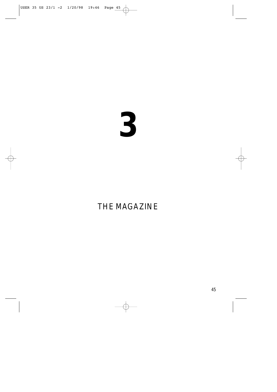# 

## THE MAGAZINE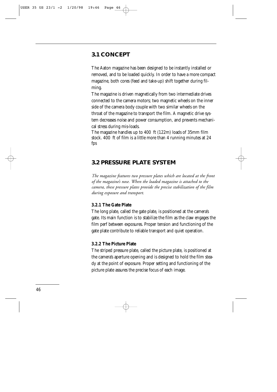## **3.1 CONCEPT**

The Aaton magazine has been designed to be instantly installed or removed, and to be loaded quickly. In order to have a more compact magazine, both cores (feed and take-up) shift together during filming.

The magazine is driven magnetically from two intermediate drives connected to the camera motors; two magnetic wheels on the inner side of the camera body couple with two similar wheels on the throat of the magazine to transport the film. A magnetic drive system decreases noise and power consumption, and prevents mechanical stress during mis-loads.

The magazine handles up to 400 ft (122m) loads of 35mm film stock. 400 ft of film is a little more than 4 running minutes at 24 fps

## **3.2 PRESSURE PLATE SYSTEM**

*The magazine features two pressure plates which are located at the front of the magazine's nose. When the loaded magazine is attached to the camera, these pressure plates provide the precise stabilization of the film during exposure and transport.*

## **3.2.1 The Gate Plate**

The long plate, called the gate plate, is positioned at the camera's gate. Its main function is to stabilize the film as the claw engages the film perf between exposures. Proper tension and functioning of the gate plate contribute to reliable transport and quiet operation.

#### **3.2.2 The Picture Plate**

The striped pressure plate, called the picture plate, is positioned at the camera's aperture opening and is designed to hold the film steady at the point of exposure. Proper setting and functioning of the picture plate assures the precise focus of each image.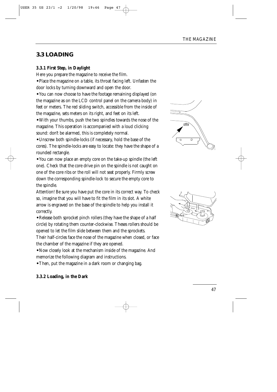## **3.3 LOADING**

## **3.3.1 First Step, in Daylight**

Here you prepare the magazine to receive the film.

**•** Place the magazine on a table, its throat facing left. Unfasten the door locks by turning downward and open the door.

**•** You can now choose to have the footage remaining displayed (on the magazine as on the LCD control panel on the camera body) in feet or meters. The red sliding switch, accessible from the inside of the magazine, sets meters on its right, and feet on its left.

**•** With your thumbs, push the two spindles towards the nose of the magazine. This operation is accompanied with a loud clicking sound: don't be alarmed, this is completely normal.

**•** Unscrew both spindle-locks (if necessary, hold the base of the cores). The spindle-locks are easy to locate: they have the shape of a rounded rectangle.

**•** You can now place an empty core on the take-up spindle (the left one). Check that the core drive pin on the spindle is not caught on one of the core ribs or the roll will not seat properly. Firmly screw down the corresponding spindle-lock to secure the empty core to the spindle.

Attention! Be sure you have put the core in its correct way. To check so, imagine that you will have to fit the film in its slot. A white arrow is engraved on the base of the spindle to help you install it correctly.

**•** Release both sprocket pinch rollers (they have the shape of a half circle) by rotating them counter-clockwise. Theses rollers should be opened to let the film slide between them and the sprockets.

Their half-circles face the nose of the magazine when closed, or face the chamber of the magazine if they are opened.

**•** Now closely look at the mechanism inside of the magazine. And memorize the following diagram and instructions.

**•** Then, put the magazine in a dark room or changing bag.





## **3.3.2 Loading, in the Dark**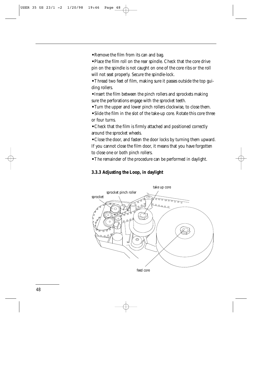**•** Remove the film from its can and bag.

**•** Place the film roll on the rear spindle. Check that the core drive pin on the spindle is not caught on one of the core ribs or the roll will not seat properly. Secure the spindle-lock.

**•** Thread two feet of film, making sure it passes outside the top guiding rollers.

**•** Insert the film between the pinch rollers and sprockets making sure the perforations engage with the sprocket teeth.

**•** Turn the upper and lower pinch rollers clockwise, to close them.

**•** Slide the film in the slot of the take-up core. Rotate this core three or four turns.

**•** Check that the film is firmly attached and positioned correctly around the sprocket wheels.

**•** Close the door, and fasten the door locks by turning them upward. If you cannot close the film door, it means that you have forgotten to close one or both pinch rollers.

**•** The remainder of the procedure can be performed in daylight.

#### **3.3.3 Adjusting the Loop, in daylight**

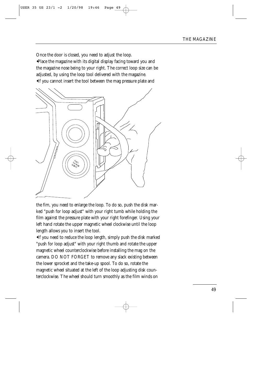Once the door is closed, you need to adjust the loop.

**•**Place the magazine with its digital display facing toward you and the magazine nose being to your right. The correct loop size can be adjusted, by using the loop tool delivered with the magazine. **•**If you cannot insert the tool between the mag pressure plate and



the fim, you need to enlarge the loop. To do so, push the disk marked "push for loop adjust" with your right tumb while holding the film against the pressure plate with your right forefinger. Using your left hand rotate the upper magnetic wheel clockwise until the loop length allows you to insert the tool.

**•**If you need to reduce the loop length, simply push the disk marked "push for loop adjust" with your right thumb and rotate the upper magnetic wheel counterclockwise before installing the mag on the camera. DO NOT FORGET to remove any slack existing between the lower sprocket and the take-up spool. To do so, rotate the magnetic wheel situated at the left of the loop adjusting disk counterclockwise. The wheel should turn smoothly as the film winds on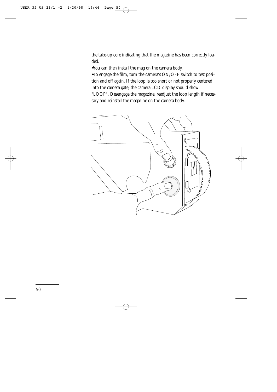the take-up core indicating that the magazine has been correctly loaded.

**•**You can then install the mag on the camera body.

**•**To engage the film, turn the camera's ON/OFF switch to test position and off again. If the loop is too short or not properly centered into the camera gate, the camera LCD display should show "LOOP". Desengage the magazine, readjust the loop length if necessary and reinstall the magazine on the camera body.

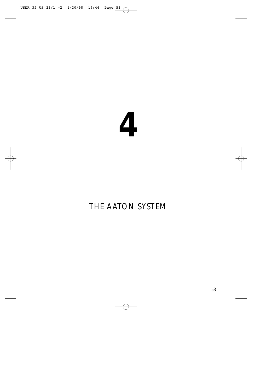

# THE AATON SYSTEM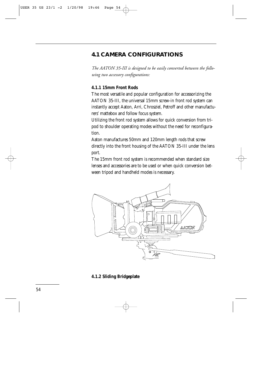## **4.1 CAMERA CONFIGURATIONS**

*The AATON 35-III is designed to be easily converted between the following two accessory configurations:*

## **4.1.1 15mm Front Rods**

The most versatile and popular configuration for accessorizing the AATON 35-III, the universal 15mm screw-in front rod system can instantly accept Aaton, Arri, Chrosziel, Petroff and other manufacturers' mattebox and follow focus system.

Utilizing the front rod system allows for quick conversion from tripod to shoulder operating modes without the need for reconfiguration.

Aaton manufactures 50mm and 120mm length rods that screw directly into the front housing of the AATON 35-III under the lens port.

The 15mm front rod system is recommended when standard size lenses and accessories are to be used or when quick conversion between tripod and handheld modes is necessary.



#### **4.1.2 Sliding Bridgeplate**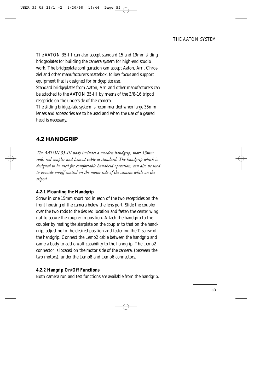The AATON 35-III can also accept standard 15 and 19mm sliding bridgeplates for building the camera system for high-end studio work. The bridgeplate configuration can accept Aaton, Arri, Chrosziel and other manufacturer's mattebox, follow focus and support equipment that is designed for bridgeplate use.

Standard bridgeplates from Aaton, Arri and other manufacturers can be attached to the AATON 35-III by means of the 3/8-16 tripod recepticle on the underside of the camera.

The sliding bridgeplate system is recommended when large 35mm lenses and accessories are to be used and when the use of a geared head is necessary.

## **4.2 HANDGRIP**

*The AATON 35-III body includes a wooden handgrip, short 15mm rods, rod coupler and Lemo2 cable as standard. The handgrip which is designed to be used for comfortable handheld operation, can also be used to provide on/off control on the motor side of the camera while on the tripod.*

## **4.2.1 Mounting the Handgrip**

Screw in one 15mm short rod in each of the two recepticles on the front housing of the camera below the lens port. Slide the coupler over the two rods to the desired location and fasten the center wing nut to secure the coupler in position. Attach the handgrip to the coupler by mating the starplate on the coupler to that on the handgrip, adjusting to the desired position and fastening the T screw of the handgrip. Connect the Lemo2 cable between the handgrip and camera body to add on/off capability to the handgrip. The Lemo2 connector is located on the motor side of the camera, (between the two motors), under the Lemo8 and Lemo6 connectors.

## **4.2.2 Hangrip On/Off Functions**

Both camera run and test functions are available from the handgrip.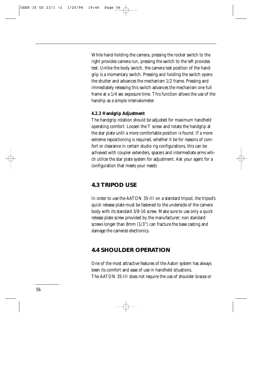While hand-holding the camera, pressing the rocker switch to the right provides camera run, pressing the switch to the left provides test. Unlike the body switch, the camera test position of the handgrip is a momentary switch. Pressing and holding the switch opens the shutter and advances the mechanism 1/2 frame. Pressing and immediately releasing this switch advances the mechanism one full frame at a 1/4 sec exposure time. This function allows the use of the handrip as a simple intervalometer.

#### **4.2.3 Handgrip Adjustment**

The handgrip rotation should be adjusted for maximum handheld operating comfort. Loosen the T screw and rotate the handgrip at the star plate until a more comfortable position is found. If a more extreme repositioning is required, whether it be for reasons of comfort or clearance in certain studio rig configurations, this can be achieved with coupler extenders, spacers and intermediate arms which utilize the star plate system for adjustment. Ask your agent for a configuration that meets your needs

## **4.3 TRIPOD USE**

In order to use the AATON 35-III on a standard tripod, the tripod's quick release plate must be fastened to the underside of the camera body with its standard 3/8-16 screw. Make sure to use only a quick release plate screw provided by the manufacturer; non standard screws longer than 8mm (1/3'') can fracture the base casting and damage the camera's electronics.

## **4.4 SHOULDER OPERATION**

One of the most attractive features of the Aaton system has always been its comfort and ease of use in handheld situations. The AATON 35-III does not require the use of shoulder braces or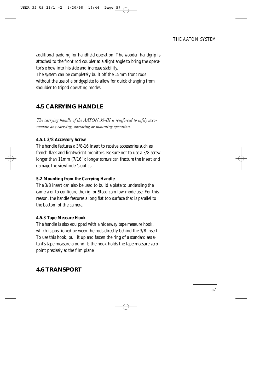additional padding for handheld operation. The wooden handgrip is attached to the front rod coupler at a slight angle to bring the operator's elbow into his side and increase stability.

The system can be completely built off the 15mm front rods without the use of a bridgeplate to allow for quick changing from shoulder to tripod operating modes.

## **4.5 CARRYING HANDLE**

*The carrying handle of the AATON 35-III is reinforced to safely accomodate any carrying, operating or mounting operation.*

## **4.5.1 3/8 Accessory Screw**

The handle features a 3/8-16 insert to receive accessories such as french flags and lightweight monitors. Be sure not to use a 3/8 screw longer than 11mm (7/16"); longer screws can fracture the insert and damage the viewfinder's optics.

## **5.2 Mounting from the Carrying Handle**

The 3/8 insert can also be used to build a plate to undersling the camera or to configure the rig for Steadicam low mode use. For this reason, the handle features a long flat top surface that is parallel to the bottom of the camera.

## **4.5.3 Tape Measure Hook**

The handle is also equipped with a hideaway tape measure hook, which is positioned between the rods directly behind the 3/8 insert. To use this hook, pull it up and fasten the ring of a standard assistant's tape measure around it; the hook holds the tape measure zero point precisely at the film plane.

## **4.6 TRANSPORT**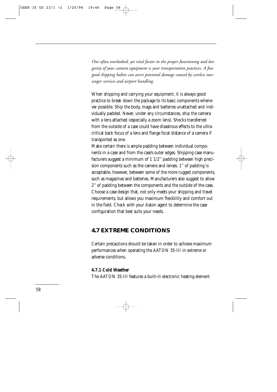*One often overlooked, yet vital factor in the proper functioning and longevity of your camera equipment is your transportation practices. A few good shipping habits can avert potential damage caused by careless messenger services and airport handling.*

When shipping and carrying your equipment, it is always good practice to break down the package to its basic components whenever possible. Ship the body, mags and batteries unattached and individually padded. Never, under any circumstances, ship the camera with a lens attached (especially a zoom lens). Shocks transferred from the outside of a case could have disastrous effects to the ultracritical back focus of a lens and flange focal distance of a camera if transported as one.

Make certain there is ample padding between individual components in a case and from the case's outer edges. Shipping case manufacturers suggest a minimum of 1 1/2'' padding between high precision components such as the camera and lenses. 1'' of padding is acceptable, however, between some of the more rugged components, such as magazines and batteries. Manufacturers also suggest to allow 2'' of padding between the components and the outside of the case. Choose a case design that, not only meets your shipping and travel requirements, but allows you maximum flexibility and comfort out in the field. Check with your Aaton agent to determine the case configuration that best suits your needs.

## **4.7 EXTREME CONDITIONS**

Certain precautions should be taken in order to achieve maximum performances when operating the AATON 35-III in extreme or adverse conditions.

#### **4.7.1 Cold Weather**

The AATON 35-III features a built-in electronic heating element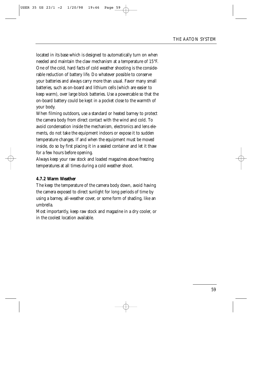located in its base which is designed to automatically turn on when needed and maintain the claw mechanism at a temperature of 15°F. One of the cold, hard facts of cold weather shooting is the considerable reduction of battery life. Do whatever possible to conserve your batteries and always carry more than usual. Favor many small batteries, such as on-board and lithium cells (which are easier to keep warm), over large block batteries. Use a powercable so that the on-board battery could be kept in a pocket close to the warmth of your body.

When filming outdoors, use a standard or heated barney to protect the camera body from direct contact with the wind and cold. To avoid condensation inside the mechanism, electronics and lens elements, do not take the equipment indoors or expose it to sudden temperature changes. If and when the equipment must be moved inside, do so by first placing it in a sealed container and let it thaw for a few hours before opening.

Always keep your raw stock and loaded magazines above freezing temperatures at all times during a cold weather shoot.

## **4.7.2 Warm Weather**

The keep the temperature of the camera body down, avoid having the camera exposed to direct sunlight for long periods of time by using a barney, all-weather cover, or some form of shading, like an umbrella.

Most importantly, keep raw stock and magazine in a dry cooler, or in the coolest location available.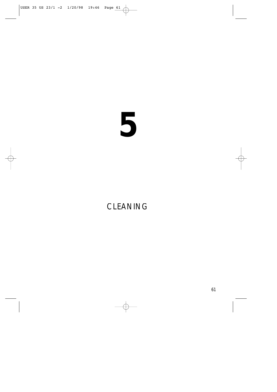# 

## CLEANING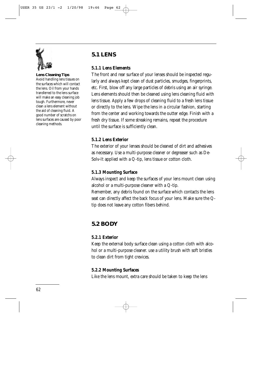

**Lens Cleaning Tips** Avoid handling lens tissues on the surfaces which will contact the lens. Oil from your hands transferred to the lens surface will make an easy cleaning job tough. Furthermore, never clean a lens element without the aid of cleaning fluid. A good number of scratchs on lens surfaces are caused by poor cleaning methods.

## **5.1 LENS**

## **5.1.1 Lens Elements**

The front and rear surface of your lenses should be inspected regularly and always kept clean of dust particles, smudges, fingerprints, etc. First, blow off any large particles of debris using an air syringe. Lens elements should then be cleaned using lens cleaning fluid with lens tissue. Apply a few drops of cleaning fluid to a fresh lens tissue or directly to the lens. Wipe the lens in a circular fashion, starting from the center and working towards the outter edge. Finish with a fresh dry tissue. If some streaking remains, repeat the procedure until the surface is sufficiently clean.

## **5.1.2 Lens Exterior**

The exterior of your lenses should be cleaned of dirt and adhesives as necessary. Use a multi-purpose cleaner or degreaser such as De-Solv-It applied with a Q-tip, lens tissue or cotton cloth.

## **5.1.3 Mounting Surface**

Always inspect and keep the surfaces of your lens mount clean using alcohol or a multi-purpose cleaner with a Q-tip.

Remember, any debris found on the surface which contacts the lens seat can directly affect the back focus of your lens. Make sure the Qtip does not leave any cotton fibers behind.

## **5.2 BODY**

## **5.2.1 Exterior**

Keep the external body surface clean using a cotton cloth with alcohol or a multi-purpose cleaner. use a utility brush with soft bristles to clean dirt from tight crevices.

## **5.2.2 Mounting Surfaces**

Like the lens mount, extra care should be taken to keep the lens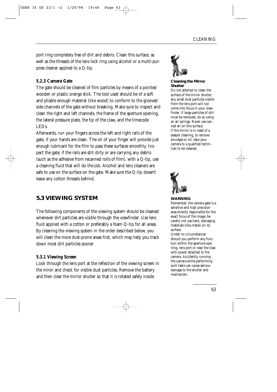port ring completely free of dirt and debris. Clean this surface, as well as the threads of the lens lock ring using alcohol or a multi-purpose cleaner applied to a Q-tip.

## **5.2.3 Camera Gate**

The gate should be cleaned of film particles by means of a pointed wooden or plastic orange stick. The tool used should be of a soft and pliable enough material (like wood) to conform to the grooved side channels of the gate without breaking. Make sure to inspect and clean the right and left channels, the frame of the aperture opening, the lateral pressure plate, the tip of the claw, and the timecode LEDs.

Afterwards, run your fingers across the left and right rails of the gate, if your hands are clean. The oil of your finger will provide just enough lubricant for the film to pass these surfaces smoothly. Inspect the gate; if the rails are still dirty or are carrying any debris (such as the adhesive from recanned rolls of film), with a Q-tip, use a cleaning fluid that will do the job. Alcohol and lens cleaners are safe to use on the surface on the gate. Make sure the Q-tip doesn't leave any cotton threads behind.

## **5.3 VIEWING SYSTEM**

The following components of the viewing system should be cleaned whenever dirt particles are visible through the viewfinder. Use lens fluid applied with a cotton or preferably a foam Q-tip for all areas. By cleaning the viewing system in the order described below, you will clean the more dust-prone areas first, which may help you track down most dirt particles sooner.

## **5.3.1 Viewing Screen**

Look through the lens port at the reflection of the viewing screen in the miror and check for visible dust particles. Remove the battery and then clear the mirror shutter so that it is rotated safely inside



#### **Cleaning the Mirror Shutter**

Do not attempt to clean the surface of the mirror shutter; any small dust particles visible from the lens port will not come into focus in your viewfinder. If large particles of dirt must be removed, do so using an air syringe. Never use canned air on this surface. If the mirror is in need of a deeper cleaning, to remove smudges or oil, take your camera to a qualified technician to be cleaned.



## **WARNING**

Remember, the camera gate is a sensitive and high precision area directly responsible for the exact focus of the image; be careful not use hard, damaging materials (like metal) on its surface.

Under no circumstances should you perform any function within the aperture opening, lens port or near the claw with power attached to the camera. Accidently running the camera while performing such tasks can cause serious damage to the shutter and mechanism.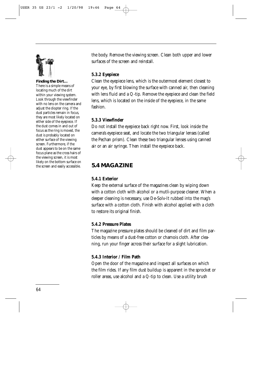

**Finding the Dirt…**

There is a simple means of locating much of the dirt within your viewing system. Look through the viewfinder with no lens on the camera and adjust the diopter ring. If the dust particles remain in focus, they are most likely located on either side of the eyepiece. If the dust comes in and out of focus as the ring is moved, the dust is probably located on either surface of the viewing screen. Furthermore, if the dust appears to be on the same focus plane as the cross hairs of the viewing screen, it is most likely on the bottom surface on the screen and easily accessible.

the body. Remove the viewing screen. Clean both upper and lower surfaces of the screen and reinstall.

## **5.3.2 Eyepiece**

Clean the eyepiece lens, which is the outermost element closest to your eye, by first blowing the surface with canned air, then cleaning with lens fluid and a Q-tip. Remove the eyepiece and clean the field lens, which is located on the inside of the eyepiece, in the same fashion.

## **5.3.3 Viewfinder**

Do not install the eyepiece back right now. First, look inside the camera's eyepiece seat, and locate the two triangular lenses (called the Pechan prism). Clean these two triangular lenses using canned air or an air syringe. Then install the eyepiece back.

## **5.4 MAGAZINE**

## **5.4.1 Exterior**

Keep the external surface of the magazines clean by wiping down with a cotton cloth with alcohol or a mutli-purpose cleaner. When a deeper cleaning is necessary, use De-Solv-It rubbed into the mag's surface with a cotton cloth. Finish with alcohol applied with a cloth to restore its original finish.

## **5.4.2 Pressure Plates**

The magazine pressure plates should be cleaned of dirt and film particles by means of a dust-free cotton or chamois cloth. After cleaning, run your finger across their surface for a slight lubrication.

## **5.4.3 Interior / Film Path**

Open the door of the magazine and inspect all surfaces on which the film rides. If any film dust buildup is apparent in the sprocket or roller areas, use alcohol and a Q-tip to clean. Use a utility brush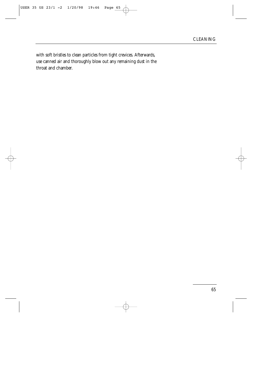with soft bristles to clean particles from tight crevices. Afterwards, use canned air and thoroughly blow out any remaining dust in the throat and chamber.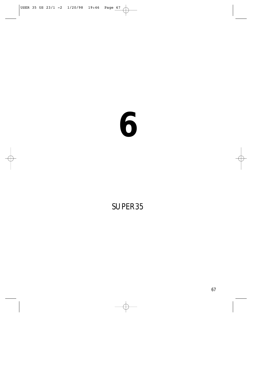# 

## SUPER35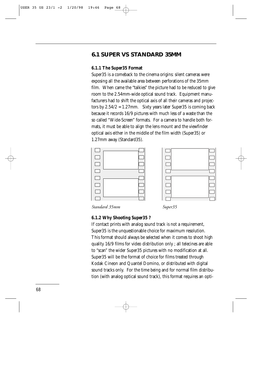## **6.1 SUPER VS STANDARD 35MM**

#### **6.1.1 The Super35 Format**

Super35 is a comeback to the cinema origins: silent cameras were exposing all the available area between perforations of the 35mm film. When came the "talkies" the picture had to be reduced to give room to the 2.54mm-wide optical sound track. Equipment manufacturers had to shift the optical axis of all their cameras and projectors by 2.54/2 = 1.27mm. Sixty years later Super35 is coming back because it records 16/9 pictures with much less of a waste than the so called "Wide-Screen" formats. For a camera to handle both formats, it must be able to align the lens mount and the viewfinder optical axis either in the middle of the film width (Super35) or 1.27mm away (Standard35).



## **6.1.2 Why Shooting Super35 ?**

If contact prints with analog sound track is not a requirement, Super35 is the unquestionable choice for maximum resolution. This format should always be selected when it comes to shoot high quality 16/9 films for video distribution only ; all telecines are able to "scan" the wider Super35 pictures with no modification at all. Super35 will be the format of choice for films treated through Kodak Cineon and Quantel Domino, or distributed with digital sound tracks only. For the time being and for normal film distribution (with analog optical sound track), this format requires an opti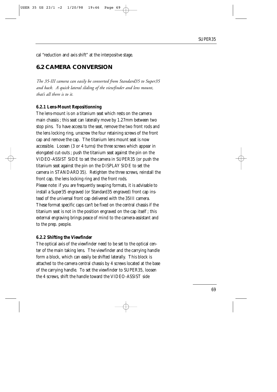cal "reduction and axis shift" at the interpositve stage.

## **6.2 CAMERA CONVERSION**

*The 35-III camera can easily be converted from Standard35 to Super35 and back. A quick lateral sliding of the viewfinder and lens mount, that's all there is to it.*

#### **6.2.1 Lens-Mount Repositionning**

The lens-mount is on a titanium seat which rests on the camera main chassis ; this seat can laterally move by 1.27mm between two stop pins. To have access to the seat, remove the two front rods and the lens locking ring, unscrew the four retaining screws of the front cap and remove the cap. The titanium lens mount seat is now accessible. Loosen (3 or 4 turns) the three screws which appear in elongated cut-outs ; push the titanium seat against the pin on the VIDEO-ASSIST SIDE to set the camera in SUPER35 (or push the titanium seat against the pin on the DISPLAY SIDE to set the camera in STANDARD35). Retighten the three screws, reinstall the front cap, the lens locking ring and the front rods. Please note: if you are frequently swaping formats, it is advisable to install a Super35 engraved (or Standard35 engraved) front cap instead of the universal front cap delivered with the 35III camera. These format specific caps can't be fixed on the central chassis if the titanium seat is not in the position engraved on the cap itself ; this external engraving brings peace of mind to the camera-assistant and to the prep. people.

#### **6.2.2 Shifting the Viewfinder**

The optical axis of the viewfinder need to be set to the optical center of the main taking lens. The viewfinder and the carrying handle form a block, which can easily be shifted laterally. This block is attached to the camera central chassis by 4 screws located at the base of the carrying handle. To set the viewfinder to SUPER35, loosen the 4 screws, shift the handle toward the VIDEO-ASSIST side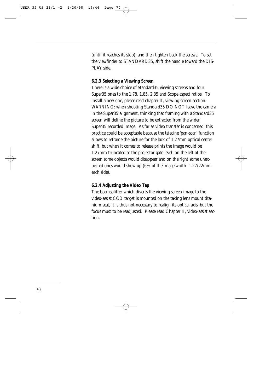(until it reaches its stop), and then tighten back the screws. To set the viewfinder to STANDARD35, shift the handle toward the DIS-PLAY side.

#### **6.2.3 Selecting a Viewing Screen**

There is a wide choice of Standard35 viewing screens and four Super35 ones to the 1.78, 1.85, 2.35 and Scope aspect ratios. To install a new one, please read chapter II, viewing screen section. WARNING: when shooting Standard35 DO NOT leave the camera in the Super35 alignment, thinking that framing with a Standard35 screen will define the picture to be extracted from the wider Super35 recorded image. As far as video transfer is concerned, this practice could be acceptable because the telecine 'pan-scan' function allows to reframe the picture for the lack of 1.27mm optical center shift, but when it comes to release prints the image would be 1.27mm truncated at the projector gate level: on the left of the screen some objects would disappear and on the right some unexpected ones would show up (6% of the image width -1.27/22mmeach side).

#### **6.2.4 Adjusting the Video Tap**

The beamsplitter which diverts the viewing screen image to the video-assist CCD target is mounted on the taking lens mount titanium seat, it is thus not necessary to realign its optical axis, but the focus must to be readjusted. Please read Chapter II, video-assist section.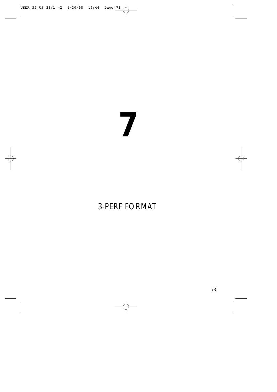## 3-PERF FORMAT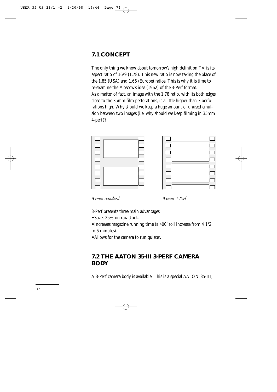### **7.1 CONCEPT**

The only thing we know about tomorrow's high definition TV is its aspect ratio of 16/9 (1.78). This new ratio is now taking the place of the 1.85 (USA) and 1.66 (Europe) ratios. This is why it is time to re-examine the Moscow's idea (1962) of the 3-Perf format. As a matter of fact, an image with the 1.78 ratio, with its both edges close to the 35mm film perforations, is a little higher than 3 perforations high. Why should we keep a huge amount of unused emulsion between two images (i.e. why should we keep filming in 35mm 4-perf)?



*35mm standard 35mm 3-Perf*

3-Perf presents three main advantages:

**•** Saves 25% on raw stock.

**•** Increases magazine running time (a 400' roll increase from 4 1/2 to 6 minutes).

**•** Allows for the camera to run quieter.

### **7.2 THE AATON 35-III 3-PERF CAMERA BODY**

A 3-Perf camera body is available. This is a special AATON 35-III,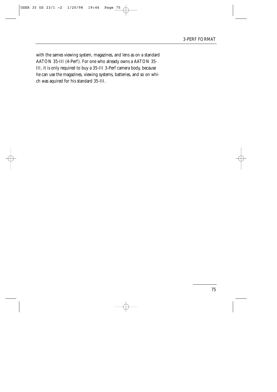with the sames viewing system, magazines, and lens as on a standard AATON 35-III (4-Perf). For one who already owns a AATON 35- III, it is only required to buy a 35-III 3-Perf camera body, because he can use the magazines, viewing systems, batteries, and so on which was aquired for his standard 35-III.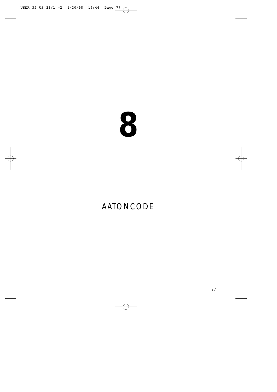## AATONCODE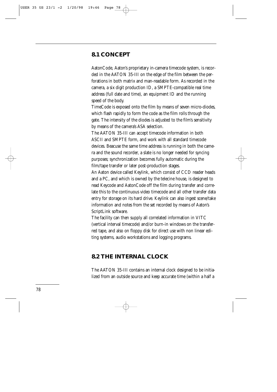### **8.1 CONCEPT**

AatonCode, Aaton's proprietary in-camera timecode system, is recorded in the AATON 35-III on the edge of the film between the perforations in both matrix and man-readable form. As recorded in the camera, a six digit production ID, a SMPTE-compatible real time address (full date and time), an equipment ID and the running speed of the body.

TimeCode is exposed onto the film by means of seven micro-diodes, which flash rapidly to form the code as the film rolls through the gate. The intensity of the diodes is adjusted to the film's sensitivity by means of the camera's ASA selection.

The AATON 35-III can accept timecode information in both ASCII and SMPTE form, and work with all standard timecode devices. Beacuse the same time address is running in both the camera and the sound recorder, a slate is no longer needed for syncing purposes; synchronization becomes fully automatic during the film/tape transfer or later post-production stages.

An Aaton device called Keylink, which consist of CCD reader heads and a PC, and which is owned by the telecine house, is designed to read Keycode and AatonCode off the film during transfer and correlate this to the continuous video timecode and all other transfer data entry for storage on its hard drive. Keylink can also ingest scene/take information and notes from the set recorded by means of Aaton's ScriptLink software.

The facility can then supply all correlated information in VITC (vertical interval timecode) and/or burn-in windows on the transferred tape, and also on floppy disk for direct use with non linear editing systems, audio workstations and logging programs.

### **8.2 THE INTERNAL CLOCK**

The AATON 35-III contains an internal clock designed to be initialized from an outside source and keep accurate time (within a half a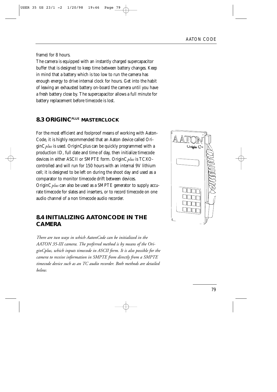frame) for 8 hours.

The camera is equipped with an instantly charged supercapacitor buffer that is designed to keep time between battery changes. Keep in mind that a battery which is too low to run the camera has enough energy to drive internal clock for hours. Get into the habit of leaving an exhausted battery on-board the camera until you have a fresh battery close by. The supercapacitor allows a full minute for battery replacement before timecode is lost.

### **8.3 ORIGINC***PLUS* **MASTERCLOCK**

For the most efficient and foolproof means of working with Aaton-Code, it is highly recommended that an Aaton device called OriginC*plus* is used. OriginCplus can be quickly programmed with a production ID, full date and time of day, then initialize timecode devices in either ASCII or SMPTE form. OriginC*plus* is TCXOcontrolled and will run for 150 hours with an internal 9V lithium cell; it is designed to be left on during the shoot day and used as a comparator to monitor timecode drift between devices. OriginC*plus* can also be used as a SMPTE generator to supply accurate timecode for slates and inserters, or to record timecode on one audio channel of a non timecode audio recorder.

### **8.4 INITIALIZING AATONCODE IN THE CAMERA**

*There are two ways in which AatonCode can be initialized in the AATON 35-III camera. The preferred method is by means of the OriginCplus, which inputs timecode in ASCII form. It is also possible for the camera to receive information in SMPTE from directly from a SMPTE timecode device such as an TC audio recorder. Both methods are detailed below.*

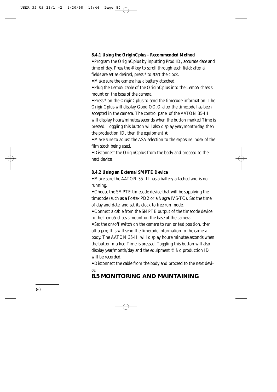### **8.4.1 Using the OriginCplus - Recommended Method**

**•** Program the OriginCplus by inputting Prod ID, accurate date and time of day. Press the # key to scroll through each field; after all fields are set as desired, press \* to start the clock.

**•** Make sure the camera has a battery attached.

**•** Plug the Lemo5 cable of the OriginCplus into the Lemo5 chassis mount on the base of the camera.

**•** Press \* on the OriginCplus to send the timecode information. The OriginCplus will display Good OO.O after the timecode has been accepted in the camera. The control panel of the AATON 35-III will display hours/minutes/seconds when the button marked Time is pressed. Toggling this button will also display year/month/day, then the production ID, then the equipment #.

**•** Make sure to adjust the ASA selection to the exposure index of the film stock being used.

**•** Disconnect the OriginCplus from the body and proceed to the next device.

#### **8.4.2 Using an External SMPTE Device**

**•** Make sure the AATON 35-III has a battery attached and is not running.

**•** Choose the SMPTE timecode device that will be supplying the timecode (such as a Fostex PD2 or a Nagra IVS-TC). Set the time of day and date, and set its clock to free run mode.

**•** Connect a cable from the SMPTE output of the timecode device to the Lemo5 chassis mount on the base of the camera.

**•** Set the on/off switch on the camera to run or test position, then off again; this will send the timecode information to the camera body. The AATON 35-III will display hours/minutes/seconds when the button marked Time is pressed. Toggling this button will also display year/month/day and the equipment #. No production ID will be recorded.

**•** Disconnect the cable from the body and proceed to the next device.

### **8.5 MONITORING AND MAINTAINING**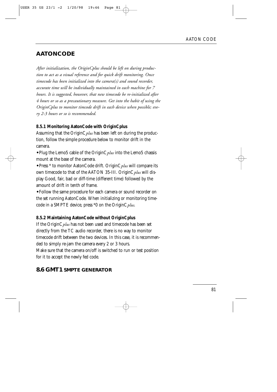### **AATONCODE**

*After initialization, the OriginCplus should be left on during production to act as a visual reference and for quick drift monitoring. Once timecode has been initialized into the camera(s) and sound recorder, accurate time will be individually maintained in each machine for 7 hours. It is suggested, however, that new timecode be re-initialized after 4 hours or so as a precautionary measure. Get into the habit of using the OriginCplus to monitor timcode drift in each device when possible; every 2-3 hours or so is recommended.*

### **8.5.1 Monitoring AatonCode with OriginCplus**

Assuming that the OriginC*plus* has been left on during the production, follow the simple procedure below to monitor drift in the camera.

**•** Plug the Lemo5 cable of the OriginC*plus* into the Lemo5 chassis mount at the base of the camera.

**•** Press \* to monitor AatonCode drift. OriginC*plus* will compare its own timecode to that of the AATON 35-III. OriginC*plus* will display Good, fair, bad or diff-time (different time) followed by the amount of drift in tenth of frame.

**•** Follow the same procedure for each camera or sound recorder on the set running AatonCode. When initializing or monitoring timecode in a SMPTE device, press \*0 on the OriginC*plus*.

#### **8.5.2 Maintaining AatonCode without OriginCplus**

If the OriginC*plus* has not been used and timecode has been set directly from the TC audio recorder, there is no way to monitor timecode drift between the two devices. In this case, it is recommended to simply re-jam the camera every 2 or 3 hours. Make sure that the camera on/off is switched to run or test position for it to accept the newly fed code.

### **8.6 GMT1 SMPTE GENERATOR**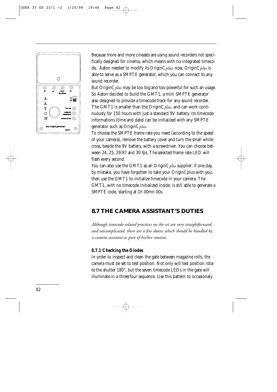

Because more and more cineasts are using sound recorders not specifically designed for cinema, which means with no integrated timecode, Aaton needed to modify its OriginC*plus*: now, OriginC*plus* is able to serve as a SMPTE generator, which you can connect to any sound recorder.

But OriginC*plus* may be too big and too powerful for such an usage. So Aaton decided to build the GMT1, a mini SMPTE generator also designed to provide a timecode track for any sound recorder. The GMT1 is smaller than the OriginC*plus*, and can work continuously for 150 hours with just a standard 9V battery. Its timecode informations (time and date) can be initialized with any SMPTE generator such as OriginC*plus*.

To choose the SMPTE frame rate you need (according to the speed of your camera), remove the battery cover and turn the small white cross, beside the 9V battery, with a screwdriver. You can choose between 24, 25, 29.97 and 30 fps. The selected frame rate LED will flash every second.

You can also use the GMT1 as an OriginC*plus* supplier: if one day, by mistake, you have forgotten to take your OriginCplus with you, then use the GMT1 to initialize timecode in your camera. The GMT1, with no timecode initialized inside, is still able to generate a SMPTE code, starting at 1h 00mn 00s.

### **8.7 THE CAMERA ASSISTANT'S DUTIES**

*Although timecode-related practices on the set are very straightforward and uncomplicated, there are a few duties which should be handled by a camera assistant as part of his/her routine.*

### **8.7.1 Checking the Diodes**

In order to inspect and clean the gate between magazine rolls, the camera must be set to test position. Not only will test position rotate the shutter 180°, but the seven timecode LEDs in the gate will illuminate in a three/four sequence. Use this pattern to occasionaly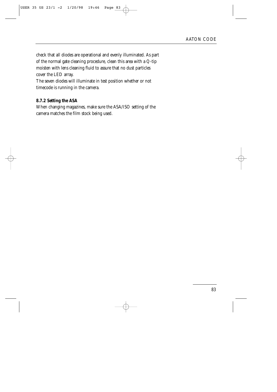check that all diodes are operational and evenly illuminated. As part of the normal gate cleaning procedure, clean this area with a Q-tip moisten with lens cleaning fluid to assure that no dust particles cover the LED array.

The seven diodes will illuminate in test position whether or not timecode is running in the camera.

#### **8.7.2 Setting the ASA**

When changing magazines, make sure the ASA/ISO setting of the camera matches the film stock being used.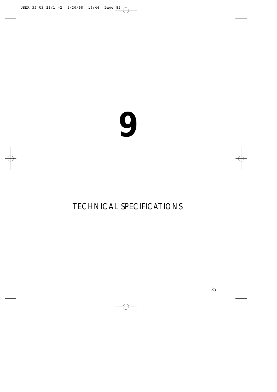### TECHNICAL SPECIFICATIONS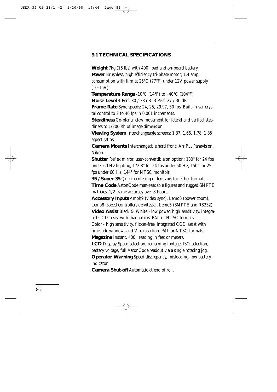### **9.1 TECHNICAL SPECIFICATIONS**

**Weight** 7kg (16 lbs) with 400' load and on-board battery. **Power** Brushless, high efficiency tri-phase motor; 1.4 amp. consumption with film at 25°C (77°F) under 12V power supply (10-15V).

**Temperature Range** -10°C (14°F) to +40°C (104°F)

**Noise Level** 4-Perf: 30 / 33 dB. 3-Perf: 27 / 30 dB

**Frame Rate** Sync speeds: 24, 25, 29.97, 30 fps. Built-in var crystal control to 2 to 40 fps in 0.001 increments.

**Steadiness** Co-planar claw movement for lateral and vertical steadiness to 1/2000th of image dimension.

**Viewing System** Interchangeable screens: 1.37, 1.66, 1.78, 1.85 aspect ratios.

**Camera Mounts** Interchangeable hard front: ArriPL, Panavision, Nikon.

**Shutter** Reflex mirror, user-convertible on option; 180° for 24 fps under 60 Hz lighting, 172.8° for 24 fps under 50 Hz, 150° for 25 fps under 60 Hz, 144° for NTSC monitoir.

**35 / Super 35** Quick centering of lens axis for either format. **Time Code** AatonCode man-readable figures and rugged SMPTE matrixes. 1/2 frame accuracy over 8 hours.

**Accessory Inputs** Amph9 (video sync), Lemo6 (power zoom), Lemo8 (speed controllers de vitesse), Lemo5 (SMPTE and RS232).

**Video Assist** Black & White - low power, high sensitivity, integrated CCD assist with manual iris. PAL or NTSC formats.

Color - high sensitivity, flicker-free, integrated CCD assist with timecode windows and Vitc insertion. PAL or NTSC formats.

**Magazine** Instant, 400', reading in feet or meters.

**LCD** Display Speed selection, remaining footage, ISO selection, battery voltage, full AatonCode readout via a single rotating jog.

**Operator Warning** Speed discrepancy, misloading, low battery indicator.

**Camera Shut-off** Automatic at end of roll.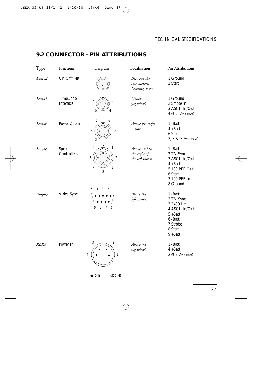### **9.2 CONNECTOR - PIN ATTRIBUTIONS**

| Type              | Fonctions                    | Diagram<br>2                                                                                                                                      | Localisation                                    | Pin Attributions                                                                                                 |
|-------------------|------------------------------|---------------------------------------------------------------------------------------------------------------------------------------------------|-------------------------------------------------|------------------------------------------------------------------------------------------------------------------|
| Lemo <sub>2</sub> | On/Off/Test                  | 1                                                                                                                                                 | Between the<br>two motors.<br>Looking down.     | 1 Ground<br>2 Start                                                                                              |
| Lemo5             | <b>TimeCode</b><br>Interface | $\,2$<br>3<br>5                                                                                                                                   | Under<br>jog wheel.                             | 1 Ground<br>2 Smpte In<br>3 ASCII In/Out<br>4 et 5l Not used                                                     |
| Lemo6             | Power Zoom                   | 1<br>6<br>$\sqrt{2}$<br>$\overline{5}$<br>4                                                                                                       | Above the right<br>motor.                       | 1-Batt<br>$4 + Batt$<br>6 Start<br>2, 3 & 5 Not used                                                             |
| Lemo <sub>8</sub> | Speed<br>Controllers         | $\mathbf{1}$<br>$\boldsymbol{2}$<br>8<br>O<br>$\mathbf{3}$<br>$\overline{7}$<br>6<br>4<br>$\overline{5}$<br>5<br>3<br>$\boldsymbol{2}$<br>-1<br>4 | Above and to<br>the right of<br>the left motor. | 1-Batt<br>2 TV Sync<br>3 ASCII In/Out<br>$4 +$ Batt<br>5 100 PFF Out<br>6 Start<br>7 100 PFF In<br>8 Ground      |
| Amph9             | Video Sync                   | $\boldsymbol{7}$<br>$\bf 8$<br>$6\phantom{1}6$<br>9                                                                                               | Above the<br>left motor.                        | 1-Batt<br>2 TV Sync<br>3 2400 Hz<br>4 ASCII In/Out<br>$5 +$ Batt<br>6-Batt<br>7 Strobe<br>8 Start<br>$9 + B$ att |
| XLR4              | Power In                     | 3<br>$\boldsymbol{2}$<br>$\mathbf{1}$<br>4                                                                                                        | Above the<br>jog wheel.                         | 1-Batt<br>$4 +$ Batt<br>2 et 3 Not used                                                                          |

 $\bullet$  pin  $\circ$  socket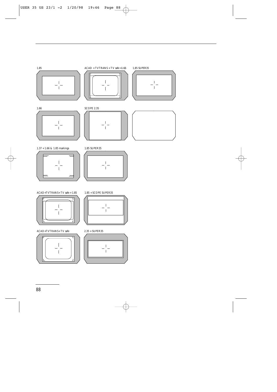













1.37 + 1.66 & 1.85 markings





ACAD+TVTRANS+ TV safe + 1.85



ACAD+TVTRANS+ TV safe



1.85 + SCOPE SUPER35



2.35 + SUPER35

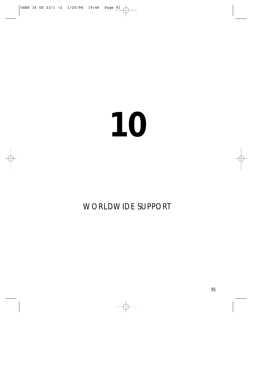### WORLDWIDE SUPPORT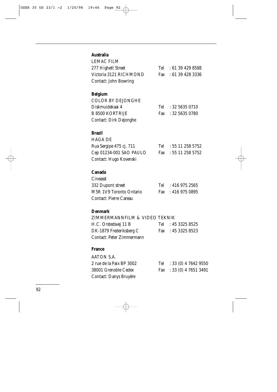### **Australia**

| <b>LEMAC FILM</b>            |                      |
|------------------------------|----------------------|
| 277 Highett Street           | Tel : 61 39 429 8588 |
| Victoria 3121 RICHMOND       | Fax : 61 39 428 3336 |
| <b>Contact: John Bowring</b> |                      |

### **Belgium**

| COLOR BY DEJONGHE      |                        |
|------------------------|------------------------|
| Diskmuidekaai 4        | $Tel = 32 5635 0710$   |
| B 8500 KORTRIJE        | Fax : $32\,5635\,0780$ |
| Contact: Dirk Dejonghe |                        |

### **Brazil**

| HAGA DE                 |                      |
|-------------------------|----------------------|
| Rua Sergipe 475 cj. 711 | Tel : $55112585752$  |
| Cep 01234-001 SAO PAULO | Fax : 55 11 258 5752 |
| Contact: Hugo Kovenski  |                      |

### **Canada**

| Cineasst                |                    |
|-------------------------|--------------------|
| 332 Dupont street       | Tel : $4169752565$ |
| M5R 1V9 Toronto Ontario | Fax : 416 975 0895 |
| Contact: Pierre Careau  |                    |

### **Denmark**

### ZIMMERMANNFILM & VIDEO TEKNIK

| H.C. Orstedsvej 11 B      | Tel : $45\,3325\,8525$ |
|---------------------------|------------------------|
| DK-1879 Frederiksberg C   | Fax : 45 3325 8523     |
| Contact: Peter Zimmermann |                        |

### **France**

| AATON S.A.               |                          |
|--------------------------|--------------------------|
| 2 rue de la Paix BP 3002 | Tel : 33 (0) 4 7642 9550 |
| 38001 Grenoble Cedex     | Fax : 33 (0) 4 7651 3491 |
| Contact: Danys Bruyère   |                          |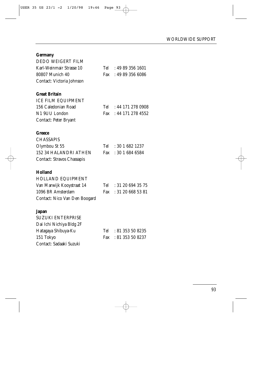### **Germany**

| <b>DEDO WEIGERT FILM</b>      |     |                   |
|-------------------------------|-----|-------------------|
| Karl-Weinmair Strasse 10      | Tel | : 49893561601     |
| 80807 Munich 40               | Fax | : 49 89 356 6086  |
| Contact: Victoria Johnson     |     |                   |
|                               |     |                   |
| <b>Great Britain</b>          |     |                   |
| <b>ICE FILM EQUIPMENT</b>     |     |                   |
| 156 Caledonian Road           | Tel | : 44 171 278 0908 |
| N1 9UU London                 | Fax | : 44 171 278 4552 |
| Contact: Peter Bryant         |     |                   |
|                               |     |                   |
| Greece                        |     |                   |
| <b>CHASSAPIS</b>              |     |                   |
| Olymbou St 55                 | Tel | : 3016821237      |
| <b>152 34 HALANDRI ATHEN</b>  | Fax | : 30 1 684 6584   |
| Contact: Stravos Chassapis    |     |                   |
|                               |     |                   |
| <b>Holland</b>                |     |                   |
| <b>HOLLAND EQUIPMENT</b>      |     |                   |
| Van Marwijk Kooystraat 14     | Tel | : 31206943575     |
| 1096 BR Amsterdam             | Fax | : 31 20 668 53 81 |
| Contact: Nico Van Den Boogard |     |                   |
|                               |     |                   |
| Japan                         |     |                   |
| <b>SUZUKI ENTERPRISE</b>      |     |                   |
| Dai Ichi Nichiya Bldg 2F      |     |                   |
| Hatagaya Shibuya-Ku           | Tel | : 81 353 50 8235  |
| 151 Tokyo                     | Fax | : 81 353 50 8237  |
| Contact: Sadaaki Suzuki       |     |                   |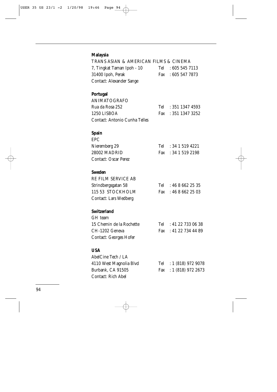### **Malaysia**

| TRANS ASIAN & AMERICAN FILMS & CINEMA |     |                        |
|---------------------------------------|-----|------------------------|
| 7, Tingkat Taman Ipoh - 10            |     | Tel : 605 545 7113     |
| 31400 Ipoh, Perak                     |     | Fax : 605 547 7873     |
| <b>Contact: Alexander Sange</b>       |     |                        |
| <b>Portugal</b>                       |     |                        |
| <b>ANIMATOGRAFO</b>                   |     |                        |
| Rua da Rosa 252                       | Tel | : 351 1347 4593        |
| 1250 LISBOA                           | Fax | : 351 1347 3252        |
| Contact: Antonio Cunha Telles         |     |                        |
| <b>Spain</b>                          |     |                        |
| <b>EPC</b>                            |     |                        |
| Nieremberg 29                         | Tel | : 34 1 519 4221        |
| 28002 MADRID                          | Fax | : 34 1 519 2198        |
| <b>Contact: Oscar Perez</b>           |     |                        |
| <b>Sweden</b>                         |     |                        |
| RE FILM SERVICE AB                    |     |                        |
| Strindbergsgatan 58                   |     | Tel : $4686622535$     |
| 115 53 STOCKHOLM                      | Fax | : 4686622503           |
| <b>Contact: Lars Wedberg</b>          |     |                        |
| <b>Switzerland</b>                    |     |                        |
| GH team                               |     |                        |
| 15 Chemin de la Rochette              | Tel | : 41227330638          |
| CH-1202 Geneva                        |     | Fax : 41 22 734 44 89  |
| Contact: Georges Hofer                |     |                        |
| <b>USA</b>                            |     |                        |
| AbelCine Tech / LA                    |     |                        |
| 4110 West Magnolia Blvd               |     | Tel : 1 (818) 972 9078 |
| Burbank, CA 91505                     | Fax | : 1(818) 972 2673      |
| Contact: Rich Abel                    |     |                        |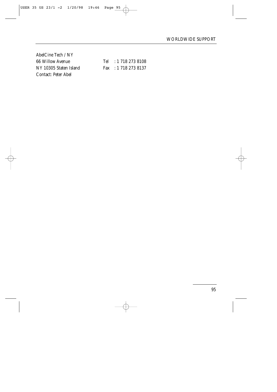AbelCine Tech / NY Contact: Peter Abel

66 Willow Avenue Tel : 1 718 273 8108 NY 10305 Staten Island Fax : 1 718 273 8137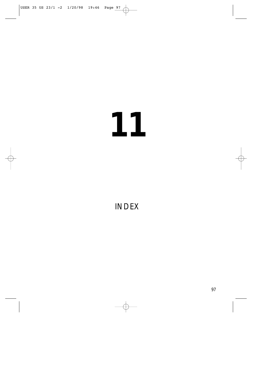### INDEX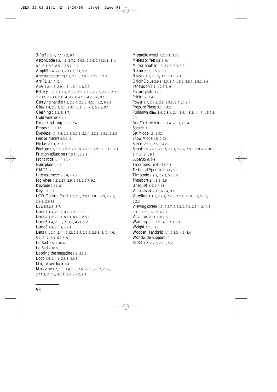3-Perf 2.6, 7, 7.1, 7.2, 9.1 AatonCode 1.2, 1.5, 2.7.2, 2.9.3, 2.9.4, 2.11.3, 8, 8.1, 8.3, 8.4, 8.5, 8.5.1, 8.5.2, 9.1 Amph9 1.4, 2.8.3, 2.11.2, 9.1, 9.2 Aperture opening 1.2, 2.2.8, 2.9.3, 3.2.2, 5.2.3 ArriPL 2.1.1, 9.1 ASA 1.2, 1.3, 2.9.4, 8.1, 8.4.1, 8.7.2 Battery 1.2, 1.3, 1.4, 2.3.2, 2.7, 2.7.1, 2.7.2, 2.7.3, 2.9.5, 2.9.12, 2.9.13, 2.10.4, 8.2, 8.4.1, 8.4.2, 8.6, 9.1 Carrying handle 1.3, 2.2.4, 2.2.5, 4.5, 4.5.2, 6.2.2 Claw 1.4, 2.3.1, 2.4, 2.4.1, 3.2.1, 4.7.1, 5.2.3, 9.1 Cleaning 2.2.8, 5, 8.7.1 Cold weather 4.7.1 Diopter set ring 1.1, 2.2.4 Empty 1.5, 3.3.1 Eyepiece 1.1, 1.4, 2.2.1, 2.2.2, 2.2.4, 2.2.5, 5.3.2, 5.3.3 Feet or meters 3.3.1, 9.1 Flicker 2.1.1, 2.11.3 Footage 1.2, 1.5, 2.9.2, 2.9.10, 2.9.11, 2.9.13, 3.3.1, 9.1 Friction adjusting ring 1.1, 2.2.3 Front rods 1.1, 4.11, 4.4 Gate plate 3.2.1 GMT1 8.6 Intervalometer 2.8.4, 4.2.3 Jog wheel 1.2, 2.81, 2.9, 2.94, 2.9.7, 9.2 Keycode 2.11, 8.1 Keylink 8.1 LCD Control Panel 1.2, 1.5, 2.8.1, 2.8.3, 2.9, 2.9.1, 2.9.3, 2.9.12 LEDs 5.2.3, 8.7.1 Lemo2 1.4, 2.8.3, 4.2, 4.2.1, 9.2 Lemo5 1.2, 2.9.3, 8.4.1, 8.4.2, 8.5.1 Lemo6 1.4, 2.8.3, 2.11.2, 4.21, 9.2 Lemo8 1.4, 2.8.3, 4.2.1 Lens 1.1, 2.1, 2.11, 2.12, 2.2.4, 2.2.9, 2.5.3, 4.12, 4.6, 5.1, 5.12, 6.1, 6.2.3, 9.1 Lo Batt 1.5, 2.10.4 Lo Spd 2.10.5 Loading the magazine 3.3, 3.3.2 Loop 1.5, 2.4.1, 2.8.3, 3.3.3 Mag release lever 1.4 Magazine 1.2, 1.3, 1.4, 1.5, 2.6, 2.6.1, 2.6.2, 2.9.6, 2.11.3, 3, 4.6, 4.7.1, 5.4, 8.7.2, 9.1

Magnetic wheel 1.2, 3.1, 3.3.3 Meters or feet 3.3.1, 9.1 Mirror Shutter 1.2, 2.2.8, 2.3, 5.3.1 Nikon 2.11, 2.5.5, 9.1 Noise 2.4.1, 2.8.2, 3.1, 3.3.1, 9.1 OriginCplus 2.9.3, 8.3, 8.4.1, 8.5, 8.5.1, 8.5.2, 8.6 Panavision 2.1.1, 2.5.5, 9.1 Picture plate 3.2.2 Pitch 1.2, 2.4.1 Power 2.7, 2.7.3, 2.8, 2.9.5, 2.11.2, 9.1 Pressure Plates 3.2, 5.4.2 Pulldown claw 1.4, 2.3.1, 2.4, 2.4.1, 3.2.1, 4.7.1, 5.2.3, 9.1 Run/Test switch 1.3, 1.4, 2.8.3, 2.9.4 Scratch 1.5 Set Mode 1.5, 2.92 Show Mode 1.5, 2.92 Spacer 2.5.2, 2.5.3, 4.2.3 Speed 1.5, 2.8.1, 2.8.2, 2.9.1, 2.9.7, 2.9.8, 2.9.9, 2.10.5, 2.11.3, 8.1, 9.1 Super35 6, 9.3 Tape measure stud 4.5.3 Technical Specifications, 9.1 Timecode 2.9.3, 2.9.4, 5.23, 8 Transport 3.1, 3.2, 4.6 Unadjust 1.5, 2.9.14 Video assist 2.11, 6.2.4, 9.1 Viewfinder 1.1, 2.2.1, 2.2.3, 2.2.4, 2.10, 5.3, 5.3.2, 6.2.2 Viewing screen 1.3, 2.2.7, 2.2.8, 2.2.9, 2.5.4, 2.11.3, 5.3.1, 6.2.1, 6.2.2, 6.2.3 Vitc lines 2.11.1, 8.1, 9.1 Warnings 1.5, 2.9.14, 5.2.3, 9.1 Weight 2.2.3, 9.1 Wooden Handgrip 1.1, 2.8.3, 4.2, 4.4 Worldwide Support 10 XLR4 1.2, 2.7.2, 2.7.3, 9.2